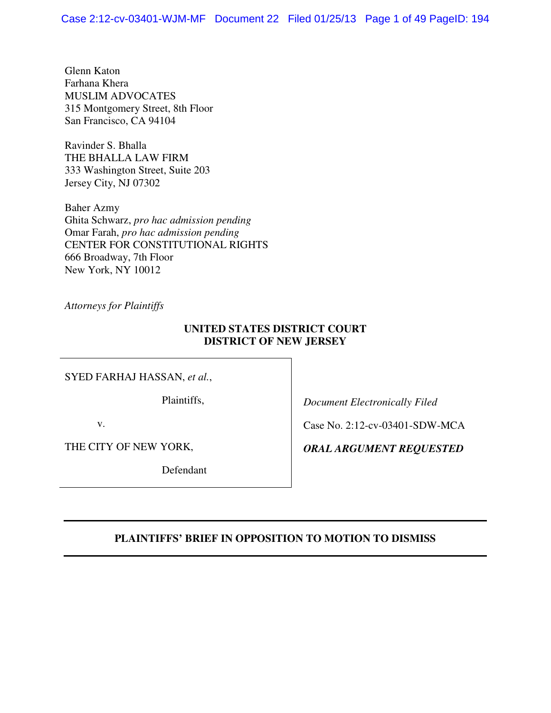Glenn Katon Farhana Khera MUSLIM ADVOCATES 315 Montgomery Street, 8th Floor San Francisco, CA 94104

Ravinder S. Bhalla THE BHALLA LAW FIRM 333 Washington Street, Suite 203 Jersey City, NJ 07302

Baher Azmy Ghita Schwarz, *pro hac admission pending* Omar Farah, *pro hac admission pending*  CENTER FOR CONSTITUTIONAL RIGHTS 666 Broadway, 7th Floor New York, NY 10012

*Attorneys for Plaintiffs*

## **UNITED STATES DISTRICT COURT DISTRICT OF NEW JERSEY**

SYED FARHAJ HASSAN, *et al.*,

Plaintiffs,

v.

THE CITY OF NEW YORK,

Defendant

*Document Electronically Filed* 

Case No. 2:12-cv-03401-SDW-MCA

*ORAL ARGUMENT REQUESTED*

## **PLAINTIFFS' BRIEF IN OPPOSITION TO MOTION TO DISMISS**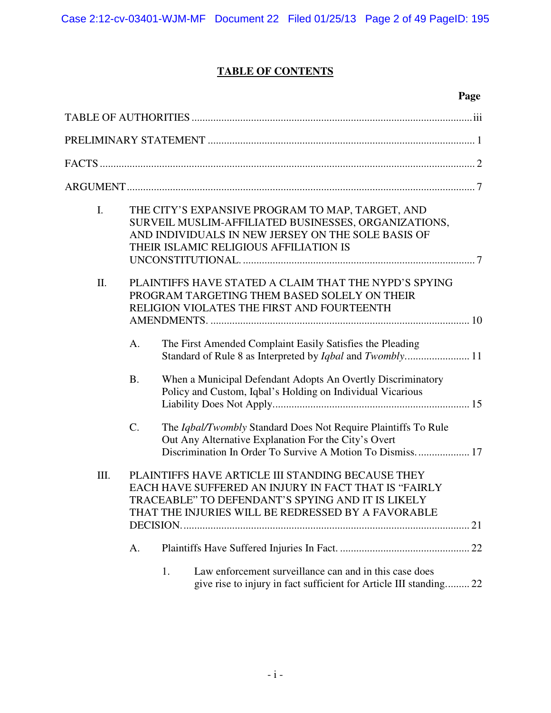# **TABLE OF CONTENTS**

|      |           | Page                                                                                                                                                                                                                 |  |
|------|-----------|----------------------------------------------------------------------------------------------------------------------------------------------------------------------------------------------------------------------|--|
|      |           |                                                                                                                                                                                                                      |  |
|      |           |                                                                                                                                                                                                                      |  |
|      |           |                                                                                                                                                                                                                      |  |
|      |           |                                                                                                                                                                                                                      |  |
| I.   |           | THE CITY'S EXPANSIVE PROGRAM TO MAP, TARGET, AND<br>SURVEIL MUSLIM-AFFILIATED BUSINESSES, ORGANIZATIONS,<br>AND INDIVIDUALS IN NEW JERSEY ON THE SOLE BASIS OF<br>THEIR ISLAMIC RELIGIOUS AFFILIATION IS             |  |
| Π.   |           | PLAINTIFFS HAVE STATED A CLAIM THAT THE NYPD'S SPYING<br>PROGRAM TARGETING THEM BASED SOLELY ON THEIR<br>RELIGION VIOLATES THE FIRST AND FOURTEENTH                                                                  |  |
|      | A.        | The First Amended Complaint Easily Satisfies the Pleading                                                                                                                                                            |  |
|      | <b>B.</b> | When a Municipal Defendant Adopts An Overtly Discriminatory<br>Policy and Custom, Iqbal's Holding on Individual Vicarious                                                                                            |  |
|      | C.        | The Iqbal/Twombly Standard Does Not Require Plaintiffs To Rule<br>Out Any Alternative Explanation For the City's Overt<br>Discrimination In Order To Survive A Motion To Dismiss 17                                  |  |
| III. |           | PLAINTIFFS HAVE ARTICLE III STANDING BECAUSE THEY<br>EACH HAVE SUFFERED AN INJURY IN FACT THAT IS "FAIRLY<br>TRACEABLE" TO DEFENDANT'S SPYING AND IT IS LIKELY<br>THAT THE INJURIES WILL BE REDRESSED BY A FAVORABLE |  |
|      | А.        |                                                                                                                                                                                                                      |  |
|      |           | Law enforcement surveillance can and in this case does<br>1.<br>give rise to injury in fact sufficient for Article III standing 22                                                                                   |  |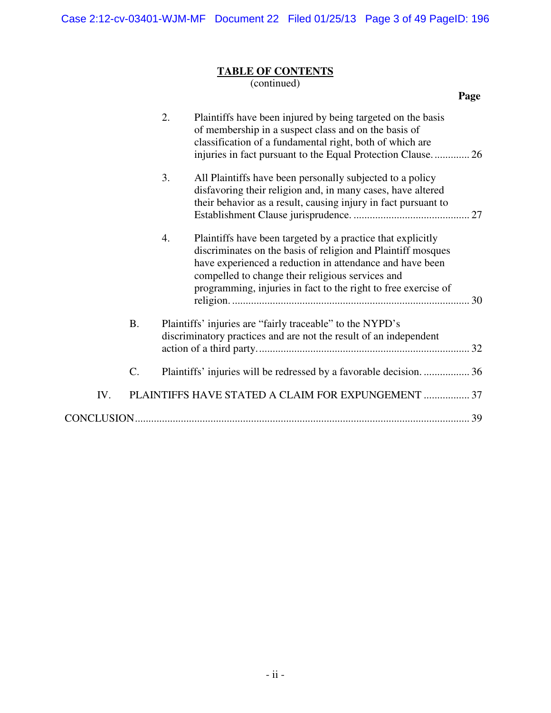## **TABLE OF CONTENTS**

(continued)

|     |           |    |                                                                                                                                                                                                                                                                                                               | Page |
|-----|-----------|----|---------------------------------------------------------------------------------------------------------------------------------------------------------------------------------------------------------------------------------------------------------------------------------------------------------------|------|
|     |           | 2. | Plaintiffs have been injured by being targeted on the basis<br>of membership in a suspect class and on the basis of<br>classification of a fundamental right, both of which are<br>injuries in fact pursuant to the Equal Protection Clause 26                                                                |      |
|     |           | 3. | All Plaintiffs have been personally subjected to a policy<br>disfavoring their religion and, in many cases, have altered<br>their behavior as a result, causing injury in fact pursuant to                                                                                                                    |      |
|     |           | 4. | Plaintiffs have been targeted by a practice that explicitly<br>discriminates on the basis of religion and Plaintiff mosques<br>have experienced a reduction in attendance and have been<br>compelled to change their religious services and<br>programming, injuries in fact to the right to free exercise of |      |
|     | <b>B.</b> |    | Plaintiffs' injuries are "fairly traceable" to the NYPD's<br>discriminatory practices and are not the result of an independent                                                                                                                                                                                |      |
|     | C.        |    | Plaintiffs' injuries will be redressed by a favorable decision36                                                                                                                                                                                                                                              |      |
| IV. |           |    | PLAINTIFFS HAVE STATED A CLAIM FOR EXPUNGEMENT  37                                                                                                                                                                                                                                                            |      |
|     |           |    |                                                                                                                                                                                                                                                                                                               |      |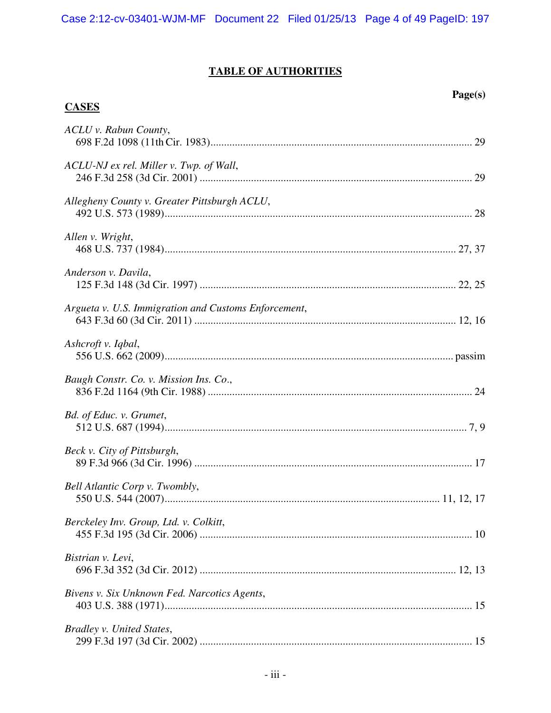# **TABLE OF AUTHORITIES**

**CASES**

## **Page(s)**

| ACLU v. Rabun County,                                |  |
|------------------------------------------------------|--|
| ACLU-NJ ex rel. Miller v. Twp. of Wall,              |  |
| Allegheny County v. Greater Pittsburgh ACLU,         |  |
| Allen v. Wright,                                     |  |
| Anderson v. Davila,                                  |  |
| Argueta v. U.S. Immigration and Customs Enforcement, |  |
| Ashcroft v. Iqbal,                                   |  |
| Baugh Constr. Co. v. Mission Ins. Co.,               |  |
| Bd. of Educ. v. Grumet,                              |  |
| Beck v. City of Pittsburgh,                          |  |
| Bell Atlantic Corp v. Twombly,                       |  |
| Berckeley Inv. Group, Ltd. v. Colkitt,               |  |
| Bistrian v. Levi,                                    |  |
| Bivens v. Six Unknown Fed. Narcotics Agents,         |  |
| Bradley v. United States,                            |  |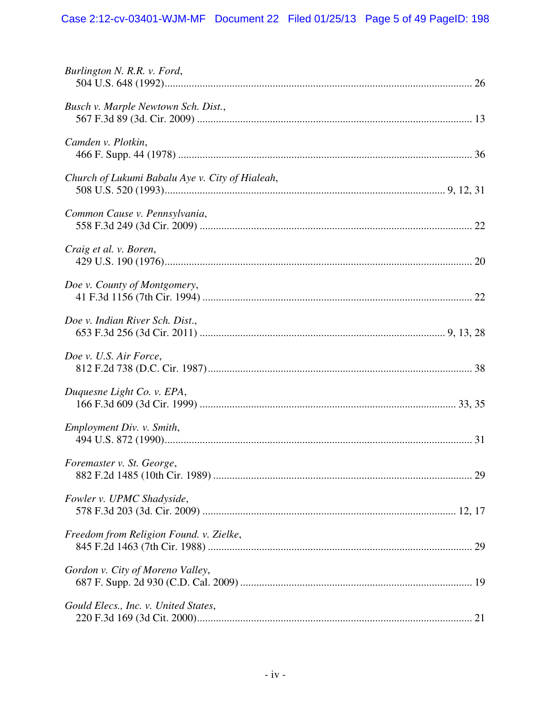| Burlington N. R.R. v. Ford,                     |  |
|-------------------------------------------------|--|
| Busch v. Marple Newtown Sch. Dist.,             |  |
| Camden v. Plotkin,                              |  |
| Church of Lukumi Babalu Aye v. City of Hialeah, |  |
| Common Cause v. Pennsylvania,                   |  |
| Craig et al. v. Boren,                          |  |
| Doe v. County of Montgomery,                    |  |
| Doe v. Indian River Sch. Dist.,                 |  |
| Doe v. U.S. Air Force,                          |  |
| Duquesne Light Co. v. EPA,                      |  |
| Employment Div. v. Smith,                       |  |
| Foremaster v. St. George,                       |  |
| Fowler v. UPMC Shadyside,                       |  |
| Freedom from Religion Found. v. Zielke,         |  |
| Gordon v. City of Moreno Valley,                |  |
| Gould Elecs., Inc. v. United States,            |  |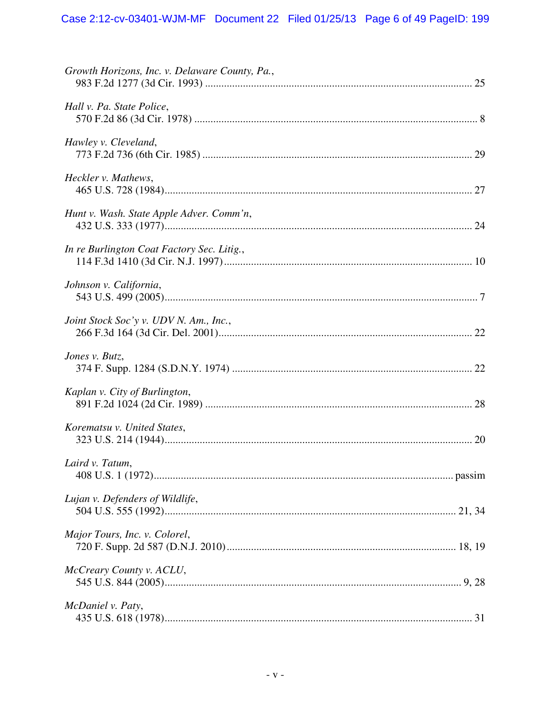| Growth Horizons, Inc. v. Delaware County, Pa., |  |
|------------------------------------------------|--|
| Hall v. Pa. State Police,                      |  |
| Hawley v. Cleveland,                           |  |
| Heckler v. Mathews,                            |  |
| Hunt v. Wash. State Apple Adver. Comm'n,       |  |
| In re Burlington Coat Factory Sec. Litig.,     |  |
| Johnson v. California,                         |  |
| Joint Stock Soc'y v. UDV N. Am., Inc.,         |  |
| Jones v. Butz,                                 |  |
| Kaplan v. City of Burlington,                  |  |
| Korematsu v. United States,                    |  |
| Laird v. Tatum,                                |  |
| Lujan v. Defenders of Wildlife,                |  |
| Major Tours, Inc. v. Colorel,                  |  |
| McCreary County v. ACLU,                       |  |
| McDaniel v. Paty,                              |  |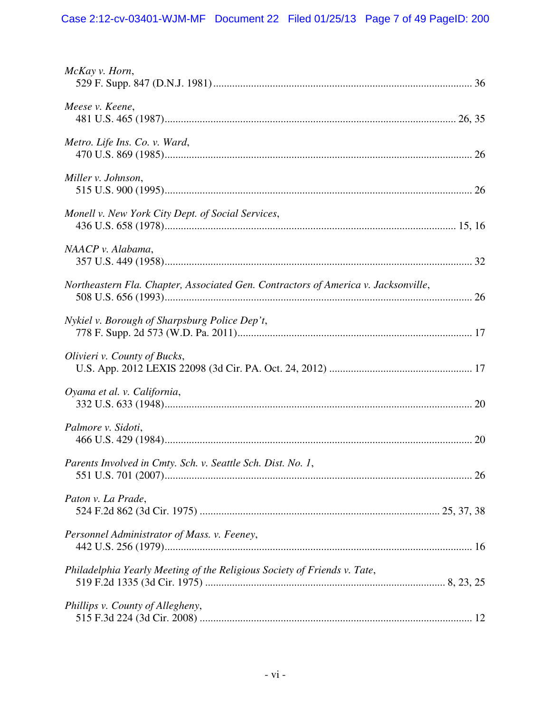| McKay v. Horn,                                                                     |
|------------------------------------------------------------------------------------|
| Meese v. Keene,                                                                    |
| Metro. Life Ins. Co. v. Ward,                                                      |
| Miller v. Johnson,                                                                 |
| Monell v. New York City Dept. of Social Services,                                  |
| NAACP v. Alabama,                                                                  |
| Northeastern Fla. Chapter, Associated Gen. Contractors of America v. Jacksonville, |
| Nykiel v. Borough of Sharpsburg Police Dep't,                                      |
| Olivieri v. County of Bucks,                                                       |
| Oyama et al. v. California,                                                        |
| Palmore v. Sidoti,                                                                 |
| Parents Involved in Cmty. Sch. v. Seattle Sch. Dist. No. 1,                        |
| Paton v. La Prade,                                                                 |
| Personnel Administrator of Mass. v. Feeney,                                        |
| Philadelphia Yearly Meeting of the Religious Society of Friends v. Tate,           |
| Phillips v. County of Allegheny,                                                   |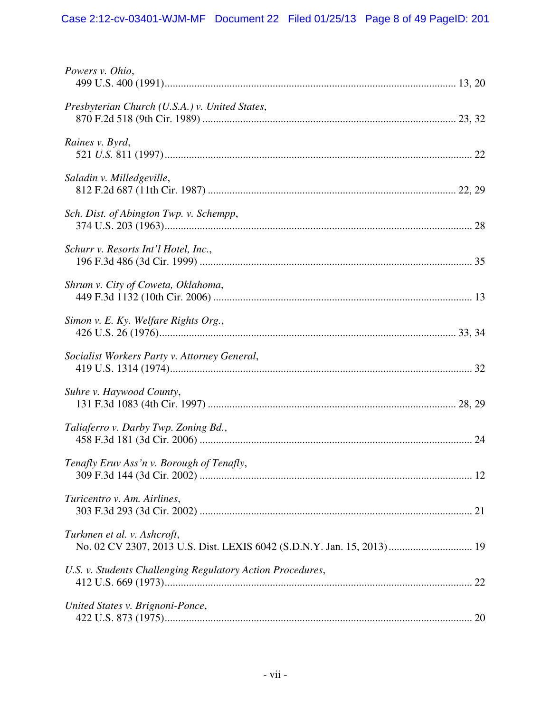# Case 2:12-cv-03401-WJM-MF Document 22 Filed 01/25/13 Page 8 of 49 PageID: 201

| Powers v. Ohio,                                                                                        |
|--------------------------------------------------------------------------------------------------------|
| Presbyterian Church (U.S.A.) v. United States,                                                         |
| Raines v. Byrd,                                                                                        |
| Saladin v. Milledgeville,                                                                              |
| Sch. Dist. of Abington Twp. v. Schempp,                                                                |
| Schurr v. Resorts Int'l Hotel, Inc.,                                                                   |
| Shrum v. City of Coweta, Oklahoma,                                                                     |
| Simon v. E. Ky. Welfare Rights Org.,                                                                   |
| Socialist Workers Party v. Attorney General,                                                           |
| Suhre v. Haywood County,                                                                               |
| Taliaferro v. Darby Twp. Zoning Bd.,                                                                   |
| Tenafly Eruv Ass'n v. Borough of Tenafly,                                                              |
| Turicentro v. Am. Airlines,                                                                            |
| Turkmen et al. v. Ashcroft,<br>No. 02 CV 2307, 2013 U.S. Dist. LEXIS 6042 (S.D.N.Y. Jan. 15, 2013)  19 |
| U.S. v. Students Challenging Regulatory Action Procedures,                                             |
| United States v. Brignoni-Ponce,                                                                       |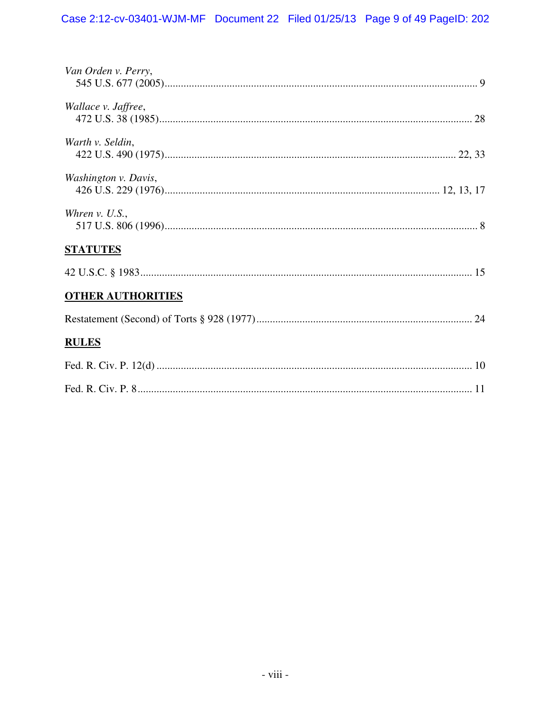| Van Orden v. Perry,      |
|--------------------------|
| Wallace v. Jaffree,      |
| Warth v. Seldin,         |
| Washington v. Davis,     |
| Whren $v.$ U.S.,         |
| <b>STATUTES</b>          |
|                          |
| <b>OTHER AUTHORITIES</b> |
|                          |
| <b>RULES</b>             |
|                          |
|                          |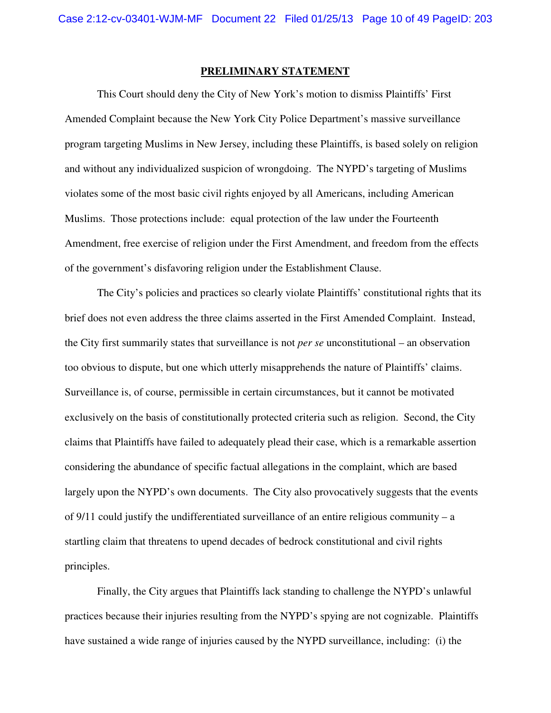## **PRELIMINARY STATEMENT**

This Court should deny the City of New York's motion to dismiss Plaintiffs' First Amended Complaint because the New York City Police Department's massive surveillance program targeting Muslims in New Jersey, including these Plaintiffs, is based solely on religion and without any individualized suspicion of wrongdoing. The NYPD's targeting of Muslims violates some of the most basic civil rights enjoyed by all Americans, including American Muslims. Those protections include: equal protection of the law under the Fourteenth Amendment, free exercise of religion under the First Amendment, and freedom from the effects of the government's disfavoring religion under the Establishment Clause.

The City's policies and practices so clearly violate Plaintiffs' constitutional rights that its brief does not even address the three claims asserted in the First Amended Complaint. Instead, the City first summarily states that surveillance is not *per se* unconstitutional – an observation too obvious to dispute, but one which utterly misapprehends the nature of Plaintiffs' claims. Surveillance is, of course, permissible in certain circumstances, but it cannot be motivated exclusively on the basis of constitutionally protected criteria such as religion. Second, the City claims that Plaintiffs have failed to adequately plead their case, which is a remarkable assertion considering the abundance of specific factual allegations in the complaint, which are based largely upon the NYPD's own documents. The City also provocatively suggests that the events of 9/11 could justify the undifferentiated surveillance of an entire religious community – a startling claim that threatens to upend decades of bedrock constitutional and civil rights principles.

Finally, the City argues that Plaintiffs lack standing to challenge the NYPD's unlawful practices because their injuries resulting from the NYPD's spying are not cognizable. Plaintiffs have sustained a wide range of injuries caused by the NYPD surveillance, including: (i) the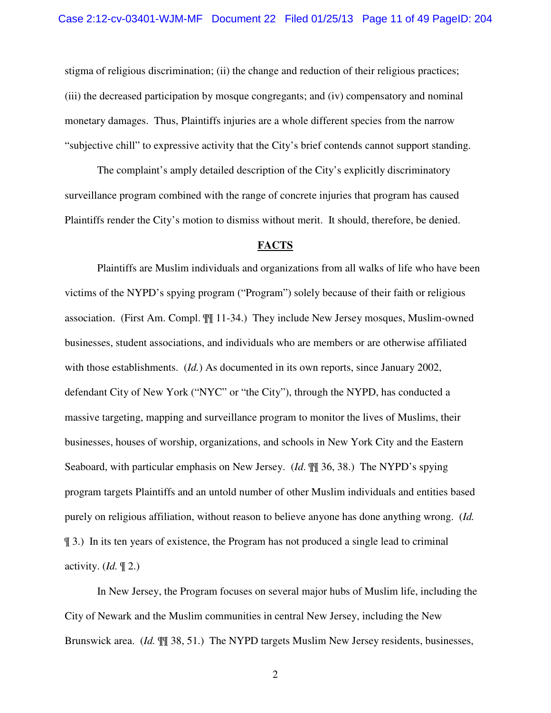stigma of religious discrimination; (ii) the change and reduction of their religious practices; (iii) the decreased participation by mosque congregants; and (iv) compensatory and nominal monetary damages. Thus, Plaintiffs injuries are a whole different species from the narrow "subjective chill" to expressive activity that the City's brief contends cannot support standing.

The complaint's amply detailed description of the City's explicitly discriminatory surveillance program combined with the range of concrete injuries that program has caused Plaintiffs render the City's motion to dismiss without merit. It should, therefore, be denied.

#### **FACTS**

Plaintiffs are Muslim individuals and organizations from all walks of life who have been victims of the NYPD's spying program ("Program") solely because of their faith or religious association. (First Am. Compl. ¶¶ 11-34.) They include New Jersey mosques, Muslim-owned businesses, student associations, and individuals who are members or are otherwise affiliated with those establishments. (*Id.*) As documented in its own reports, since January 2002, defendant City of New York ("NYC" or "the City"), through the NYPD, has conducted a massive targeting, mapping and surveillance program to monitor the lives of Muslims, their businesses, houses of worship, organizations, and schools in New York City and the Eastern Seaboard, with particular emphasis on New Jersey. (*Id*. ¶¶ 36, 38.) The NYPD's spying program targets Plaintiffs and an untold number of other Muslim individuals and entities based purely on religious affiliation, without reason to believe anyone has done anything wrong. (*Id.* ¶ 3.) In its ten years of existence, the Program has not produced a single lead to criminal activity. (*Id.* ¶ 2.)

In New Jersey, the Program focuses on several major hubs of Muslim life, including the City of Newark and the Muslim communities in central New Jersey, including the New Brunswick area. (*Id.* ¶¶ 38, 51.) The NYPD targets Muslim New Jersey residents, businesses,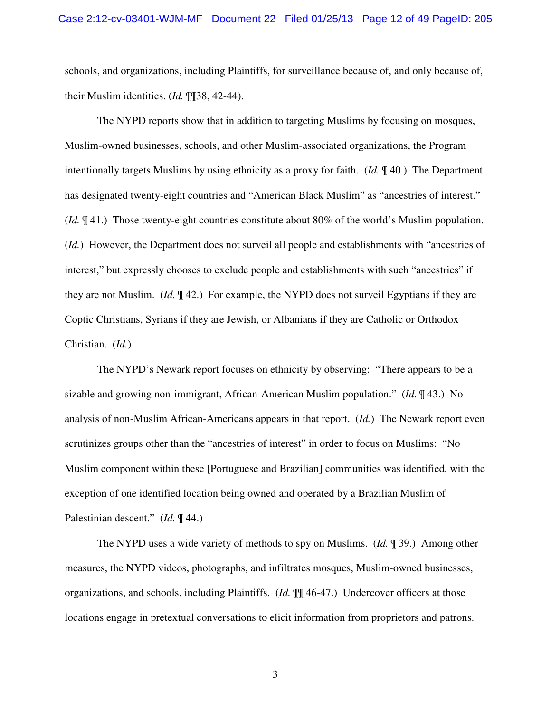schools, and organizations, including Plaintiffs, for surveillance because of, and only because of, their Muslim identities. (*Id.* ¶¶38, 42-44).

The NYPD reports show that in addition to targeting Muslims by focusing on mosques, Muslim-owned businesses, schools, and other Muslim-associated organizations, the Program intentionally targets Muslims by using ethnicity as a proxy for faith. (*Id.* ¶ 40.) The Department has designated twenty-eight countries and "American Black Muslim" as "ancestries of interest." (*Id.* ¶ 41.) Those twenty-eight countries constitute about 80% of the world's Muslim population. (*Id.*) However, the Department does not surveil all people and establishments with "ancestries of interest," but expressly chooses to exclude people and establishments with such "ancestries" if they are not Muslim. (*Id.* ¶ 42.) For example, the NYPD does not surveil Egyptians if they are Coptic Christians, Syrians if they are Jewish, or Albanians if they are Catholic or Orthodox Christian. (*Id.*)

The NYPD's Newark report focuses on ethnicity by observing: "There appears to be a sizable and growing non-immigrant, African-American Muslim population." (*Id.* ¶ 43.) No analysis of non-Muslim African-Americans appears in that report. (*Id.*) The Newark report even scrutinizes groups other than the "ancestries of interest" in order to focus on Muslims: "No Muslim component within these [Portuguese and Brazilian] communities was identified, with the exception of one identified location being owned and operated by a Brazilian Muslim of Palestinian descent." (*Id.* ¶ 44.)

The NYPD uses a wide variety of methods to spy on Muslims. (*Id.* ¶ 39.) Among other measures, the NYPD videos, photographs, and infiltrates mosques, Muslim-owned businesses, organizations, and schools, including Plaintiffs. (*Id.* ¶¶ 46-47.) Undercover officers at those locations engage in pretextual conversations to elicit information from proprietors and patrons.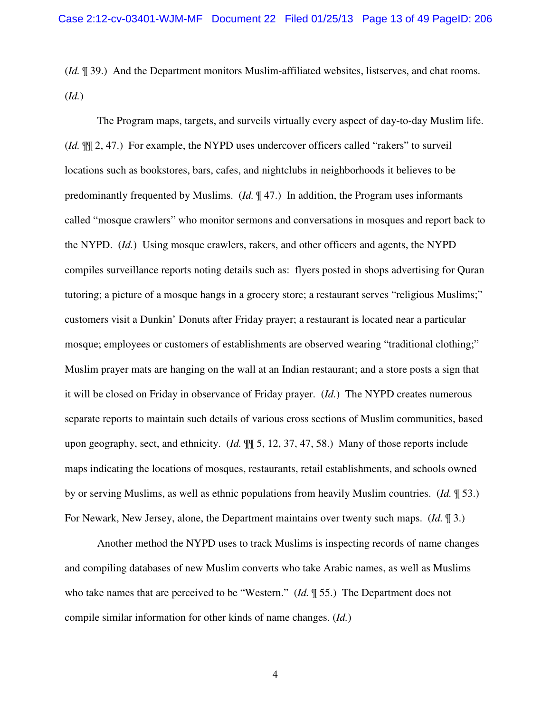(*Id.* ¶ 39.) And the Department monitors Muslim-affiliated websites, listserves, and chat rooms. (*Id.*)

The Program maps, targets, and surveils virtually every aspect of day-to-day Muslim life. (*Id.* ¶¶ 2, 47.) For example, the NYPD uses undercover officers called "rakers" to surveil locations such as bookstores, bars, cafes, and nightclubs in neighborhoods it believes to be predominantly frequented by Muslims. (*Id.* ¶ 47.) In addition, the Program uses informants called "mosque crawlers" who monitor sermons and conversations in mosques and report back to the NYPD. (*Id.*) Using mosque crawlers, rakers, and other officers and agents, the NYPD compiles surveillance reports noting details such as: flyers posted in shops advertising for Quran tutoring; a picture of a mosque hangs in a grocery store; a restaurant serves "religious Muslims;" customers visit a Dunkin' Donuts after Friday prayer; a restaurant is located near a particular mosque; employees or customers of establishments are observed wearing "traditional clothing;" Muslim prayer mats are hanging on the wall at an Indian restaurant; and a store posts a sign that it will be closed on Friday in observance of Friday prayer. (*Id.*) The NYPD creates numerous separate reports to maintain such details of various cross sections of Muslim communities, based upon geography, sect, and ethnicity. (*Id.* ¶¶ 5, 12, 37, 47, 58.) Many of those reports include maps indicating the locations of mosques, restaurants, retail establishments, and schools owned by or serving Muslims, as well as ethnic populations from heavily Muslim countries. (*Id.* ¶ 53.) For Newark, New Jersey, alone, the Department maintains over twenty such maps. (*Id.* ¶ 3.)

Another method the NYPD uses to track Muslims is inspecting records of name changes and compiling databases of new Muslim converts who take Arabic names, as well as Muslims who take names that are perceived to be "Western." (*Id.* ¶ 55.) The Department does not compile similar information for other kinds of name changes. (*Id.*)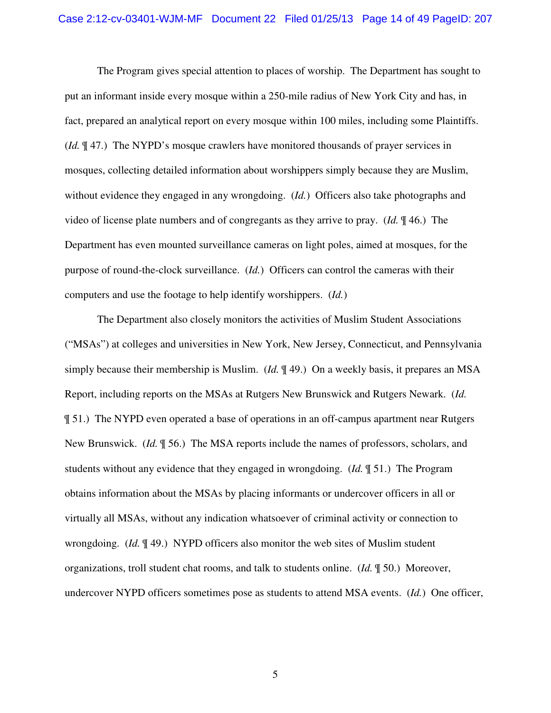The Program gives special attention to places of worship. The Department has sought to put an informant inside every mosque within a 250-mile radius of New York City and has, in fact, prepared an analytical report on every mosque within 100 miles, including some Plaintiffs. (*Id.* ¶ 47.) The NYPD's mosque crawlers have monitored thousands of prayer services in mosques, collecting detailed information about worshippers simply because they are Muslim, without evidence they engaged in any wrongdoing. (*Id.*) Officers also take photographs and video of license plate numbers and of congregants as they arrive to pray. (*Id.* ¶ 46.) The Department has even mounted surveillance cameras on light poles, aimed at mosques, for the purpose of round-the-clock surveillance. (*Id.*) Officers can control the cameras with their computers and use the footage to help identify worshippers. (*Id.*)

The Department also closely monitors the activities of Muslim Student Associations ("MSAs") at colleges and universities in New York, New Jersey, Connecticut, and Pennsylvania simply because their membership is Muslim. (*Id.* ¶ 49.) On a weekly basis, it prepares an MSA Report, including reports on the MSAs at Rutgers New Brunswick and Rutgers Newark. (*Id.* ¶ 51.) The NYPD even operated a base of operations in an off-campus apartment near Rutgers New Brunswick. (*Id.* ¶ 56.) The MSA reports include the names of professors, scholars, and students without any evidence that they engaged in wrongdoing. (*Id.* ¶ 51.) The Program obtains information about the MSAs by placing informants or undercover officers in all or virtually all MSAs, without any indication whatsoever of criminal activity or connection to wrongdoing. (*Id.* ¶ 49.) NYPD officers also monitor the web sites of Muslim student organizations, troll student chat rooms, and talk to students online. (*Id.* ¶ 50.) Moreover, undercover NYPD officers sometimes pose as students to attend MSA events. (*Id.*) One officer,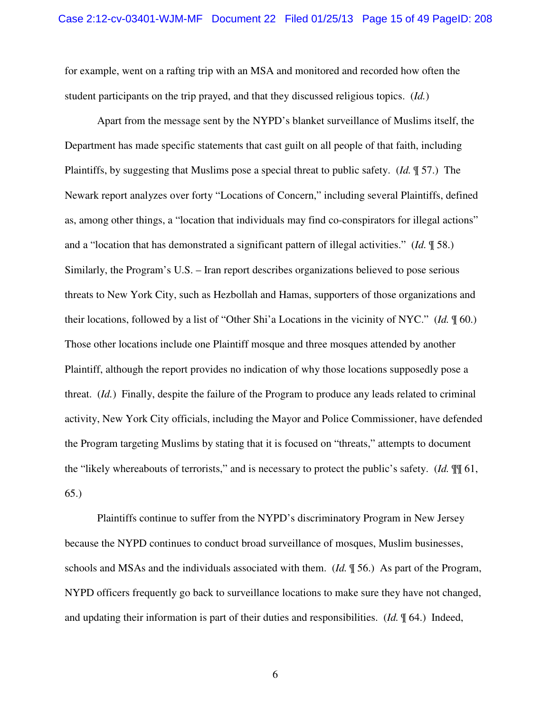for example, went on a rafting trip with an MSA and monitored and recorded how often the student participants on the trip prayed, and that they discussed religious topics. (*Id.*)

Apart from the message sent by the NYPD's blanket surveillance of Muslims itself, the Department has made specific statements that cast guilt on all people of that faith, including Plaintiffs, by suggesting that Muslims pose a special threat to public safety. (*Id.* ¶ 57.) The Newark report analyzes over forty "Locations of Concern," including several Plaintiffs, defined as, among other things, a "location that individuals may find co-conspirators for illegal actions" and a "location that has demonstrated a significant pattern of illegal activities." (*Id.* ¶ 58.) Similarly, the Program's U.S. – Iran report describes organizations believed to pose serious threats to New York City, such as Hezbollah and Hamas, supporters of those organizations and their locations, followed by a list of "Other Shi'a Locations in the vicinity of NYC." (*Id.* ¶ 60.) Those other locations include one Plaintiff mosque and three mosques attended by another Plaintiff, although the report provides no indication of why those locations supposedly pose a threat. (*Id.*) Finally, despite the failure of the Program to produce any leads related to criminal activity, New York City officials, including the Mayor and Police Commissioner, have defended the Program targeting Muslims by stating that it is focused on "threats," attempts to document the "likely whereabouts of terrorists," and is necessary to protect the public's safety. (*Id.* ¶¶ 61, 65.)

Plaintiffs continue to suffer from the NYPD's discriminatory Program in New Jersey because the NYPD continues to conduct broad surveillance of mosques, Muslim businesses, schools and MSAs and the individuals associated with them. (*Id.* ¶ 56.) As part of the Program, NYPD officers frequently go back to surveillance locations to make sure they have not changed, and updating their information is part of their duties and responsibilities. (*Id.* ¶ 64.) Indeed,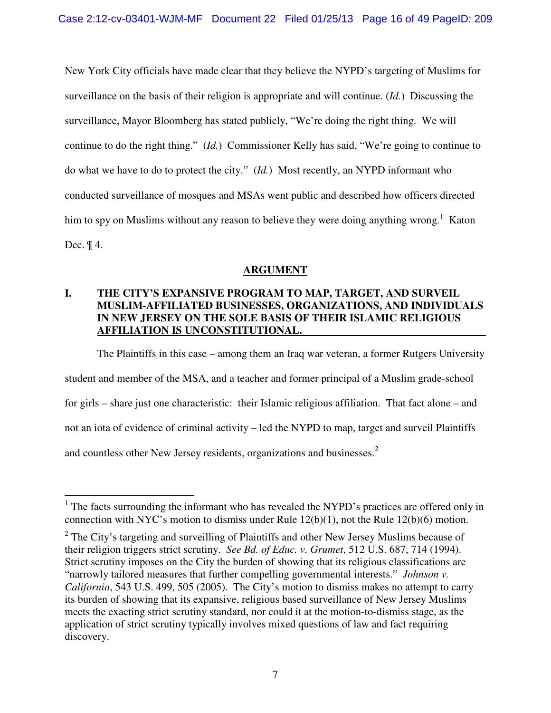New York City officials have made clear that they believe the NYPD's targeting of Muslims for surveillance on the basis of their religion is appropriate and will continue. (*Id.*) Discussing the surveillance, Mayor Bloomberg has stated publicly, "We're doing the right thing. We will continue to do the right thing." (*Id.*) Commissioner Kelly has said, "We're going to continue to do what we have to do to protect the city." (*Id.*) Most recently, an NYPD informant who conducted surveillance of mosques and MSAs went public and described how officers directed him to spy on Muslims without any reason to believe they were doing anything wrong.<sup>1</sup> Katon Dec. ¶ 4.

## **ARGUMENT**

## **I. THE CITY'S EXPANSIVE PROGRAM TO MAP, TARGET, AND SURVEIL MUSLIM-AFFILIATED BUSINESSES, ORGANIZATIONS, AND INDIVIDUALS IN NEW JERSEY ON THE SOLE BASIS OF THEIR ISLAMIC RELIGIOUS AFFILIATION IS UNCONSTITUTIONAL.**

The Plaintiffs in this case – among them an Iraq war veteran, a former Rutgers University student and member of the MSA, and a teacher and former principal of a Muslim grade-school for girls – share just one characteristic: their Islamic religious affiliation. That fact alone – and not an iota of evidence of criminal activity – led the NYPD to map, target and surveil Plaintiffs and countless other New Jersey residents, organizations and businesses.<sup>2</sup>

 $\overline{a}$ 

<sup>&</sup>lt;sup>1</sup> The facts surrounding the informant who has revealed the NYPD's practices are offered only in connection with NYC's motion to dismiss under Rule 12(b)(1), not the Rule 12(b)(6) motion.

 $2$  The City's targeting and surveilling of Plaintiffs and other New Jersey Muslims because of their religion triggers strict scrutiny. *See Bd. of Educ. v. Grumet*, 512 U.S. 687, 714 (1994). Strict scrutiny imposes on the City the burden of showing that its religious classifications are "narrowly tailored measures that further compelling governmental interests." *Johnson v. California*, 543 U.S. 499, 505 (2005). The City's motion to dismiss makes no attempt to carry its burden of showing that its expansive, religious based surveillance of New Jersey Muslims meets the exacting strict scrutiny standard, nor could it at the motion-to-dismiss stage, as the application of strict scrutiny typically involves mixed questions of law and fact requiring discovery.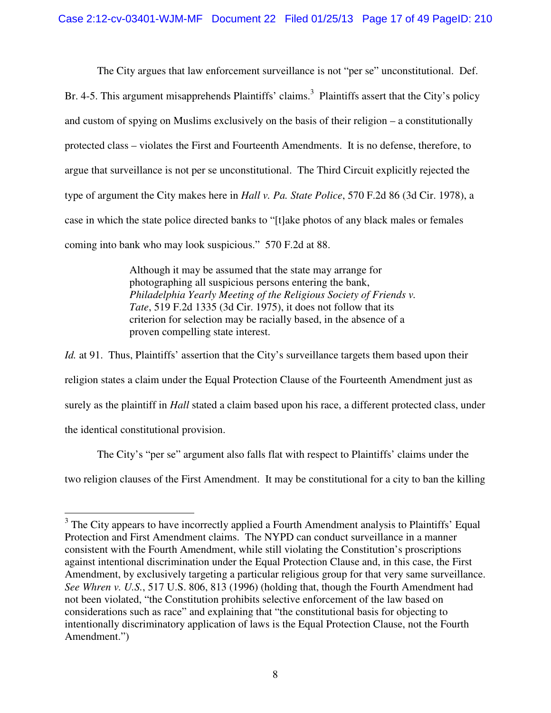The City argues that law enforcement surveillance is not "per se" unconstitutional. Def. Br. 4-5. This argument misapprehends Plaintiffs' claims.<sup>3</sup> Plaintiffs assert that the City's policy and custom of spying on Muslims exclusively on the basis of their religion – a constitutionally protected class – violates the First and Fourteenth Amendments. It is no defense, therefore, to argue that surveillance is not per se unconstitutional. The Third Circuit explicitly rejected the type of argument the City makes here in *Hall v. Pa. State Police*, 570 F.2d 86 (3d Cir. 1978), a case in which the state police directed banks to "[t]ake photos of any black males or females coming into bank who may look suspicious." 570 F.2d at 88.

> Although it may be assumed that the state may arrange for photographing all suspicious persons entering the bank, *Philadelphia Yearly Meeting of the Religious Society of Friends v. Tate*, 519 F.2d 1335 (3d Cir. 1975), it does not follow that its criterion for selection may be racially based, in the absence of a proven compelling state interest.

*Id.* at 91. Thus, Plaintiffs' assertion that the City's surveillance targets them based upon their religion states a claim under the Equal Protection Clause of the Fourteenth Amendment just as surely as the plaintiff in *Hall* stated a claim based upon his race, a different protected class, under the identical constitutional provision.

The City's "per se" argument also falls flat with respect to Plaintiffs' claims under the two religion clauses of the First Amendment. It may be constitutional for a city to ban the killing

<sup>&</sup>lt;sup>3</sup> The City appears to have incorrectly applied a Fourth Amendment analysis to Plaintiffs' Equal Protection and First Amendment claims. The NYPD can conduct surveillance in a manner consistent with the Fourth Amendment, while still violating the Constitution's proscriptions against intentional discrimination under the Equal Protection Clause and, in this case, the First Amendment, by exclusively targeting a particular religious group for that very same surveillance. *See Whren v. U.S.*, 517 U.S. 806, 813 (1996) (holding that, though the Fourth Amendment had not been violated, "the Constitution prohibits selective enforcement of the law based on considerations such as race" and explaining that "the constitutional basis for objecting to intentionally discriminatory application of laws is the Equal Protection Clause, not the Fourth Amendment.")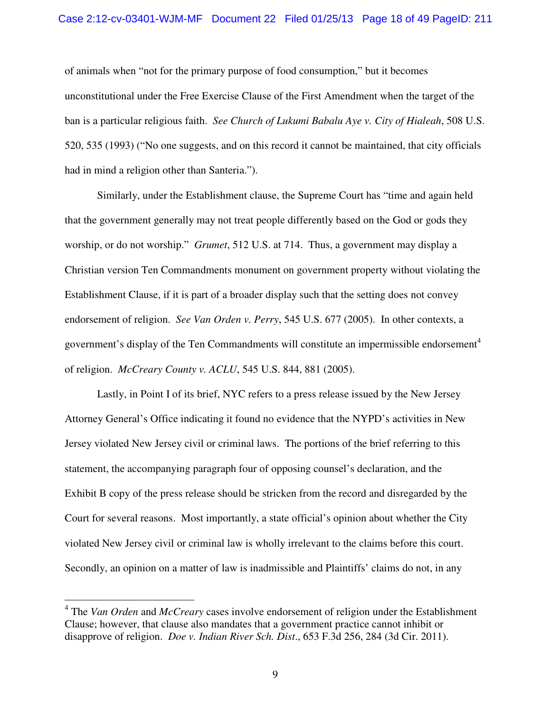#### Case 2:12-cv-03401-WJM-MF Document 22 Filed 01/25/13 Page 18 of 49 PageID: 211

of animals when "not for the primary purpose of food consumption," but it becomes unconstitutional under the Free Exercise Clause of the First Amendment when the target of the ban is a particular religious faith. *See Church of Lukumi Babalu Aye v. City of Hialeah*, 508 U.S. 520, 535 (1993) ("No one suggests, and on this record it cannot be maintained, that city officials had in mind a religion other than Santeria.").

Similarly, under the Establishment clause, the Supreme Court has "time and again held that the government generally may not treat people differently based on the God or gods they worship, or do not worship." *Grumet*, 512 U.S. at 714. Thus, a government may display a Christian version Ten Commandments monument on government property without violating the Establishment Clause, if it is part of a broader display such that the setting does not convey endorsement of religion. *See Van Orden v. Perry*, 545 U.S. 677 (2005). In other contexts, a government's display of the Ten Commandments will constitute an impermissible endorsement<sup>4</sup> of religion. *McCreary County v. ACLU*, 545 U.S. 844, 881 (2005).

Lastly, in Point I of its brief, NYC refers to a press release issued by the New Jersey Attorney General's Office indicating it found no evidence that the NYPD's activities in New Jersey violated New Jersey civil or criminal laws. The portions of the brief referring to this statement, the accompanying paragraph four of opposing counsel's declaration, and the Exhibit B copy of the press release should be stricken from the record and disregarded by the Court for several reasons. Most importantly, a state official's opinion about whether the City violated New Jersey civil or criminal law is wholly irrelevant to the claims before this court. Secondly, an opinion on a matter of law is inadmissible and Plaintiffs' claims do not, in any

 $\overline{a}$ 

<sup>4</sup> The *Van Orden* and *McCreary* cases involve endorsement of religion under the Establishment Clause; however, that clause also mandates that a government practice cannot inhibit or disapprove of religion. *Doe v. Indian River Sch. Dist*., 653 F.3d 256, 284 (3d Cir. 2011).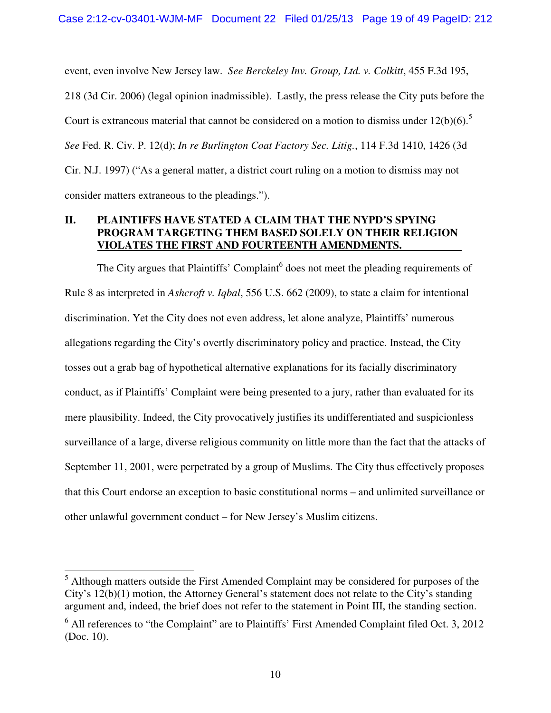event, even involve New Jersey law. *See Berckeley Inv. Group, Ltd. v. Colkitt*, 455 F.3d 195, 218 (3d Cir. 2006) (legal opinion inadmissible). Lastly, the press release the City puts before the Court is extraneous material that cannot be considered on a motion to dismiss under  $12(b)(6)$ .<sup>5</sup> *See* Fed. R. Civ. P. 12(d); *In re Burlington Coat Factory Sec. Litig.*, 114 F.3d 1410, 1426 (3d Cir. N.J. 1997) ("As a general matter, a district court ruling on a motion to dismiss may not consider matters extraneous to the pleadings.").

## **II. PLAINTIFFS HAVE STATED A CLAIM THAT THE NYPD'S SPYING PROGRAM TARGETING THEM BASED SOLELY ON THEIR RELIGION VIOLATES THE FIRST AND FOURTEENTH AMENDMENTS.**

The City argues that Plaintiffs' Complaint $<sup>6</sup>$  does not meet the pleading requirements of</sup> Rule 8 as interpreted in *Ashcroft v. Iqbal*, 556 U.S. 662 (2009), to state a claim for intentional discrimination. Yet the City does not even address, let alone analyze, Plaintiffs' numerous allegations regarding the City's overtly discriminatory policy and practice. Instead, the City tosses out a grab bag of hypothetical alternative explanations for its facially discriminatory conduct, as if Plaintiffs' Complaint were being presented to a jury, rather than evaluated for its mere plausibility. Indeed, the City provocatively justifies its undifferentiated and suspicionless surveillance of a large, diverse religious community on little more than the fact that the attacks of September 11, 2001, were perpetrated by a group of Muslims. The City thus effectively proposes that this Court endorse an exception to basic constitutional norms – and unlimited surveillance or other unlawful government conduct – for New Jersey's Muslim citizens.

 $\overline{a}$ 

 $<sup>5</sup>$  Although matters outside the First Amended Complaint may be considered for purposes of the</sup> City's 12(b)(1) motion, the Attorney General's statement does not relate to the City's standing argument and, indeed, the brief does not refer to the statement in Point III, the standing section.

 $<sup>6</sup>$  All references to "the Complaint" are to Plaintiffs' First Amended Complaint filed Oct. 3, 2012</sup> (Doc. 10).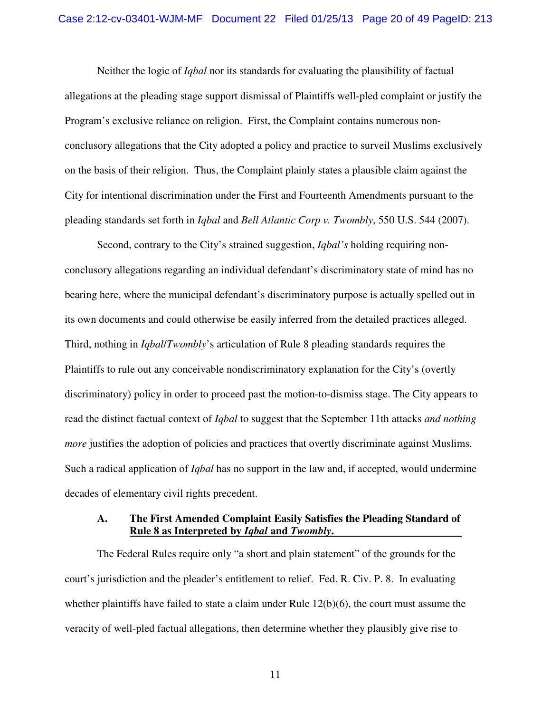#### Case 2:12-cv-03401-WJM-MF Document 22 Filed 01/25/13 Page 20 of 49 PageID: 213

Neither the logic of *Iqbal* nor its standards for evaluating the plausibility of factual allegations at the pleading stage support dismissal of Plaintiffs well-pled complaint or justify the Program's exclusive reliance on religion. First, the Complaint contains numerous nonconclusory allegations that the City adopted a policy and practice to surveil Muslims exclusively on the basis of their religion. Thus, the Complaint plainly states a plausible claim against the City for intentional discrimination under the First and Fourteenth Amendments pursuant to the pleading standards set forth in *Iqbal* and *Bell Atlantic Corp v. Twombly*, 550 U.S. 544 (2007).

Second, contrary to the City's strained suggestion, *Iqbal's* holding requiring nonconclusory allegations regarding an individual defendant's discriminatory state of mind has no bearing here, where the municipal defendant's discriminatory purpose is actually spelled out in its own documents and could otherwise be easily inferred from the detailed practices alleged. Third, nothing in *Iqbal*/*Twombly*'s articulation of Rule 8 pleading standards requires the Plaintiffs to rule out any conceivable nondiscriminatory explanation for the City's (overtly discriminatory) policy in order to proceed past the motion-to-dismiss stage. The City appears to read the distinct factual context of *Iqbal* to suggest that the September 11th attacks *and nothing more* justifies the adoption of policies and practices that overtly discriminate against Muslims. Such a radical application of *Iqbal* has no support in the law and, if accepted, would undermine decades of elementary civil rights precedent.

#### **A. The First Amended Complaint Easily Satisfies the Pleading Standard of Rule 8 as Interpreted by** *Iqbal* **and** *Twombly***.**

The Federal Rules require only "a short and plain statement" of the grounds for the court's jurisdiction and the pleader's entitlement to relief. Fed. R. Civ. P. 8. In evaluating whether plaintiffs have failed to state a claim under Rule  $12(b)(6)$ , the court must assume the veracity of well-pled factual allegations, then determine whether they plausibly give rise to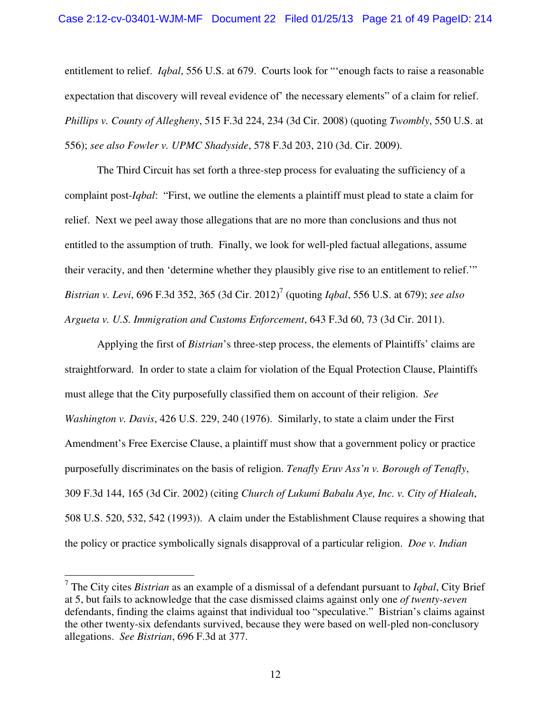#### Case 2:12-cv-03401-WJM-MF Document 22 Filed 01/25/13 Page 21 of 49 PageID: 214

entitlement to relief. *Iqbal*, 556 U.S. at 679. Courts look for "'enough facts to raise a reasonable expectation that discovery will reveal evidence of' the necessary elements" of a claim for relief. *Phillips v. County of Allegheny*, 515 F.3d 224, 234 (3d Cir. 2008) (quoting *Twombly*, 550 U.S. at 556); *see also Fowler v. UPMC Shadyside*, 578 F.3d 203, 210 (3d. Cir. 2009).

The Third Circuit has set forth a three-step process for evaluating the sufficiency of a complaint post-*Iqbal*: "First, we outline the elements a plaintiff must plead to state a claim for relief. Next we peel away those allegations that are no more than conclusions and thus not entitled to the assumption of truth. Finally, we look for well-pled factual allegations, assume their veracity, and then 'determine whether they plausibly give rise to an entitlement to relief.'" *Bistrian v. Levi*, 696 F.3d 352, 365 (3d Cir. 2012)<sup>7</sup> (quoting *Iqbal*, 556 U.S. at 679); *see also Argueta v. U.S. Immigration and Customs Enforcement*, 643 F.3d 60, 73 (3d Cir. 2011).

Applying the first of *Bistrian*'s three-step process, the elements of Plaintiffs' claims are straightforward. In order to state a claim for violation of the Equal Protection Clause, Plaintiffs must allege that the City purposefully classified them on account of their religion. *See Washington v. Davis*, 426 U.S. 229, 240 (1976). Similarly, to state a claim under the First Amendment's Free Exercise Clause, a plaintiff must show that a government policy or practice purposefully discriminates on the basis of religion. *Tenafly Eruv Ass'n v. Borough of Tenafly*, 309 F.3d 144, 165 (3d Cir. 2002) (citing *Church of Lukumi Babalu Aye, Inc. v. City of Hialeah*, 508 U.S. 520, 532, 542 (1993)). A claim under the Establishment Clause requires a showing that the policy or practice symbolically signals disapproval of a particular religion. *Doe v. Indian* 

 7 The City cites *Bistrian* as an example of a dismissal of a defendant pursuant to *Iqbal*, City Brief at 5, but fails to acknowledge that the case dismissed claims against only one *of twenty-seven*  defendants, finding the claims against that individual too "speculative." Bistrian's claims against the other twenty-six defendants survived, because they were based on well-pled non-conclusory allegations. *See Bistrian*, 696 F.3d at 377.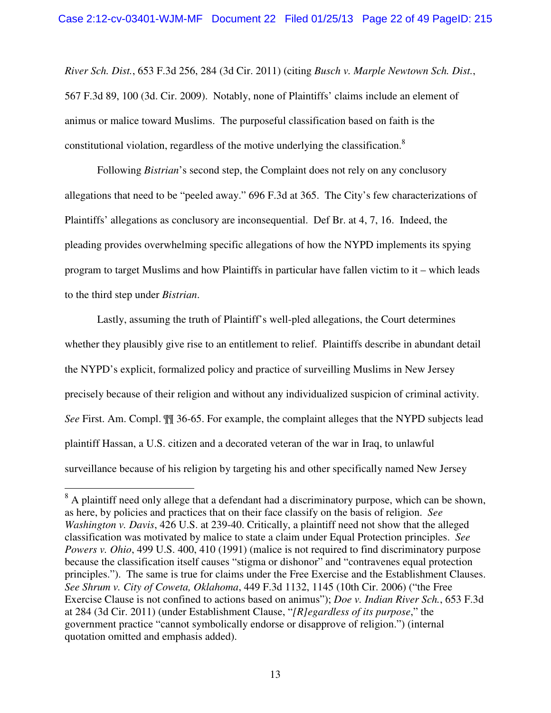*River Sch. Dist.*, 653 F.3d 256, 284 (3d Cir. 2011) (citing *Busch v. Marple Newtown Sch. Dist.*, 567 F.3d 89, 100 (3d. Cir. 2009). Notably, none of Plaintiffs' claims include an element of animus or malice toward Muslims. The purposeful classification based on faith is the constitutional violation, regardless of the motive underlying the classification.<sup>8</sup>

Following *Bistrian*'s second step, the Complaint does not rely on any conclusory allegations that need to be "peeled away." 696 F.3d at 365. The City's few characterizations of Plaintiffs' allegations as conclusory are inconsequential. Def Br. at 4, 7, 16. Indeed, the pleading provides overwhelming specific allegations of how the NYPD implements its spying program to target Muslims and how Plaintiffs in particular have fallen victim to it – which leads to the third step under *Bistrian*.

Lastly, assuming the truth of Plaintiff's well-pled allegations, the Court determines whether they plausibly give rise to an entitlement to relief. Plaintiffs describe in abundant detail the NYPD's explicit, formalized policy and practice of surveilling Muslims in New Jersey precisely because of their religion and without any individualized suspicion of criminal activity. *See* First. Am. Compl. ¶¶ 36-65. For example, the complaint alleges that the NYPD subjects lead plaintiff Hassan, a U.S. citizen and a decorated veteran of the war in Iraq, to unlawful surveillance because of his religion by targeting his and other specifically named New Jersey

<sup>&</sup>lt;sup>8</sup> A plaintiff need only allege that a defendant had a discriminatory purpose, which can be shown, as here, by policies and practices that on their face classify on the basis of religion. *See Washington v. Davis*, 426 U.S. at 239-40. Critically, a plaintiff need not show that the alleged classification was motivated by malice to state a claim under Equal Protection principles. *See Powers v. Ohio*, 499 U.S. 400, 410 (1991) (malice is not required to find discriminatory purpose because the classification itself causes "stigma or dishonor" and "contravenes equal protection principles."). The same is true for claims under the Free Exercise and the Establishment Clauses. *See Shrum v. City of Coweta, Oklahoma*, 449 F.3d 1132, 1145 (10th Cir. 2006) ("the Free Exercise Clause is not confined to actions based on animus"); *Doe v. Indian River Sch.*, 653 F.3d at 284 (3d Cir. 2011) (under Establishment Clause, "*[R]egardless of its purpose*," the government practice "cannot symbolically endorse or disapprove of religion.") (internal quotation omitted and emphasis added).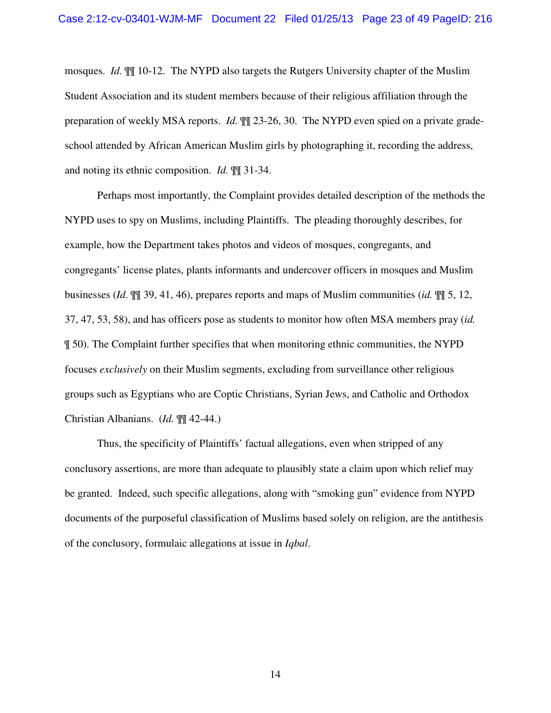mosques. *Id.* ¶¶ 10-12. The NYPD also targets the Rutgers University chapter of the Muslim Student Association and its student members because of their religious affiliation through the preparation of weekly MSA reports. *Id.*  $\mathbb{I}$  23-26, 30. The NYPD even spied on a private gradeschool attended by African American Muslim girls by photographing it, recording the address, and noting its ethnic composition. *Id.* ¶¶ 31-34.

Perhaps most importantly, the Complaint provides detailed description of the methods the NYPD uses to spy on Muslims, including Plaintiffs. The pleading thoroughly describes, for example, how the Department takes photos and videos of mosques, congregants, and congregants' license plates, plants informants and undercover officers in mosques and Muslim businesses (*Id*. ¶¶ 39, 41, 46), prepares reports and maps of Muslim communities (*id.* ¶¶ 5, 12, 37, 47, 53, 58), and has officers pose as students to monitor how often MSA members pray (*id.* ¶ 50). The Complaint further specifies that when monitoring ethnic communities, the NYPD focuses *exclusively* on their Muslim segments, excluding from surveillance other religious groups such as Egyptians who are Coptic Christians, Syrian Jews, and Catholic and Orthodox Christian Albanians. (*Id.* ¶¶ 42-44.)

Thus, the specificity of Plaintiffs' factual allegations, even when stripped of any conclusory assertions, are more than adequate to plausibly state a claim upon which relief may be granted. Indeed, such specific allegations, along with "smoking gun" evidence from NYPD documents of the purposeful classification of Muslims based solely on religion, are the antithesis of the conclusory, formulaic allegations at issue in *Iqbal*.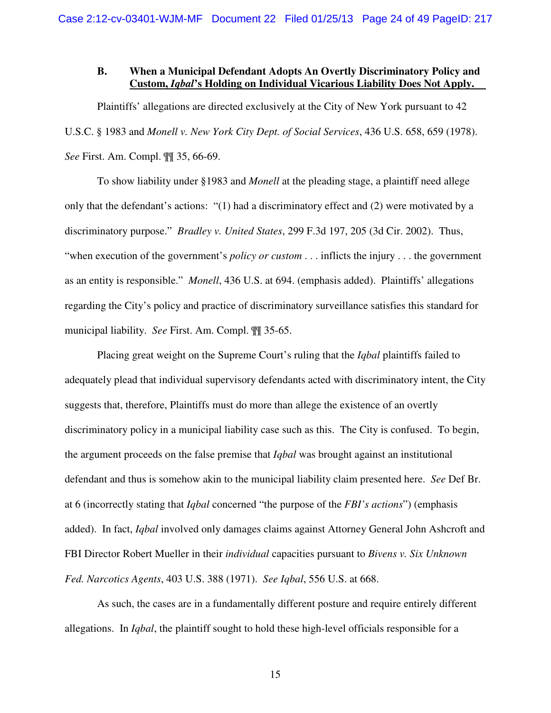#### **B. When a Municipal Defendant Adopts An Overtly Discriminatory Policy and Custom,** *Iqbal***'s Holding on Individual Vicarious Liability Does Not Apply.**

Plaintiffs' allegations are directed exclusively at the City of New York pursuant to 42 U.S.C. § 1983 and *Monell v. New York City Dept. of Social Services*, 436 U.S. 658, 659 (1978). *See* First. Am. Compl. ¶¶ 35, 66-69.

To show liability under §1983 and *Monell* at the pleading stage, a plaintiff need allege only that the defendant's actions: "(1) had a discriminatory effect and (2) were motivated by a discriminatory purpose." *Bradley v. United States*, 299 F.3d 197, 205 (3d Cir. 2002). Thus, "when execution of the government's *policy or custom* . . . inflicts the injury . . . the government as an entity is responsible." *Monell*, 436 U.S. at 694. (emphasis added). Plaintiffs' allegations regarding the City's policy and practice of discriminatory surveillance satisfies this standard for municipal liability. *See* First. Am. Compl. ¶¶ 35-65.

Placing great weight on the Supreme Court's ruling that the *Iqbal* plaintiffs failed to adequately plead that individual supervisory defendants acted with discriminatory intent, the City suggests that, therefore, Plaintiffs must do more than allege the existence of an overtly discriminatory policy in a municipal liability case such as this. The City is confused. To begin, the argument proceeds on the false premise that *Iqbal* was brought against an institutional defendant and thus is somehow akin to the municipal liability claim presented here. *See* Def Br. at 6 (incorrectly stating that *Iqbal* concerned "the purpose of the *FBI's actions*") (emphasis added). In fact, *Iqbal* involved only damages claims against Attorney General John Ashcroft and FBI Director Robert Mueller in their *individual* capacities pursuant to *Bivens v. Six Unknown Fed. Narcotics Agents*, 403 U.S. 388 (1971). *See Iqbal*, 556 U.S. at 668.

As such, the cases are in a fundamentally different posture and require entirely different allegations. In *Iqbal*, the plaintiff sought to hold these high-level officials responsible for a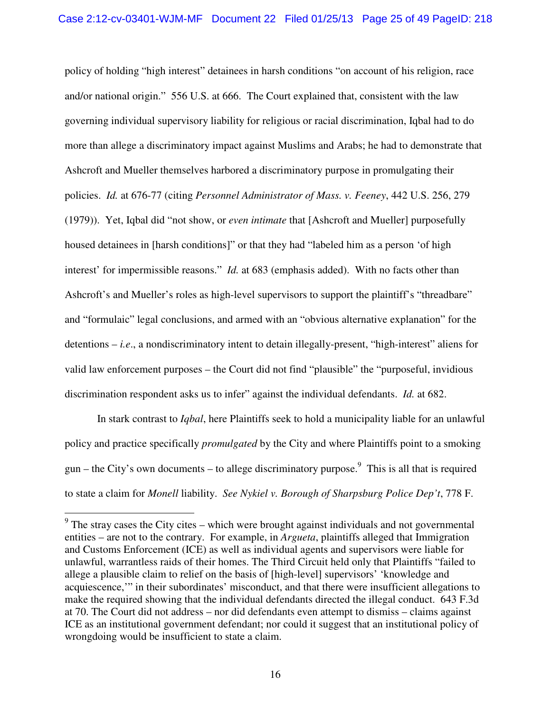policy of holding "high interest" detainees in harsh conditions "on account of his religion, race and/or national origin." 556 U.S. at 666. The Court explained that, consistent with the law governing individual supervisory liability for religious or racial discrimination, Iqbal had to do more than allege a discriminatory impact against Muslims and Arabs; he had to demonstrate that Ashcroft and Mueller themselves harbored a discriminatory purpose in promulgating their policies. *Id.* at 676-77 (citing *Personnel Administrator of Mass. v. Feeney*, 442 U.S. 256, 279 (1979)). Yet, Iqbal did "not show, or *even intimate* that [Ashcroft and Mueller] purposefully housed detainees in [harsh conditions]" or that they had "labeled him as a person 'of high interest' for impermissible reasons." *Id.* at 683 (emphasis added). With no facts other than Ashcroft's and Mueller's roles as high-level supervisors to support the plaintiff's "threadbare" and "formulaic" legal conclusions, and armed with an "obvious alternative explanation" for the detentions – *i.e*., a nondiscriminatory intent to detain illegally-present, "high-interest" aliens for valid law enforcement purposes – the Court did not find "plausible" the "purposeful, invidious discrimination respondent asks us to infer" against the individual defendants. *Id.* at 682.

In stark contrast to *Iqbal*, here Plaintiffs seek to hold a municipality liable for an unlawful policy and practice specifically *promulgated* by the City and where Plaintiffs point to a smoking gun – the City's own documents – to allege discriminatory purpose.<sup>9</sup> This is all that is required to state a claim for *Monell* liability. *See Nykiel v. Borough of Sharpsburg Police Dep't*, 778 F.

<sup>&</sup>lt;sup>9</sup> The stray cases the City cites – which were brought against individuals and not governmental entities – are not to the contrary. For example, in *Argueta*, plaintiffs alleged that Immigration and Customs Enforcement (ICE) as well as individual agents and supervisors were liable for unlawful, warrantless raids of their homes. The Third Circuit held only that Plaintiffs "failed to allege a plausible claim to relief on the basis of [high-level] supervisors' 'knowledge and acquiescence,'" in their subordinates' misconduct, and that there were insufficient allegations to make the required showing that the individual defendants directed the illegal conduct. 643 F.3d at 70. The Court did not address – nor did defendants even attempt to dismiss – claims against ICE as an institutional government defendant; nor could it suggest that an institutional policy of wrongdoing would be insufficient to state a claim.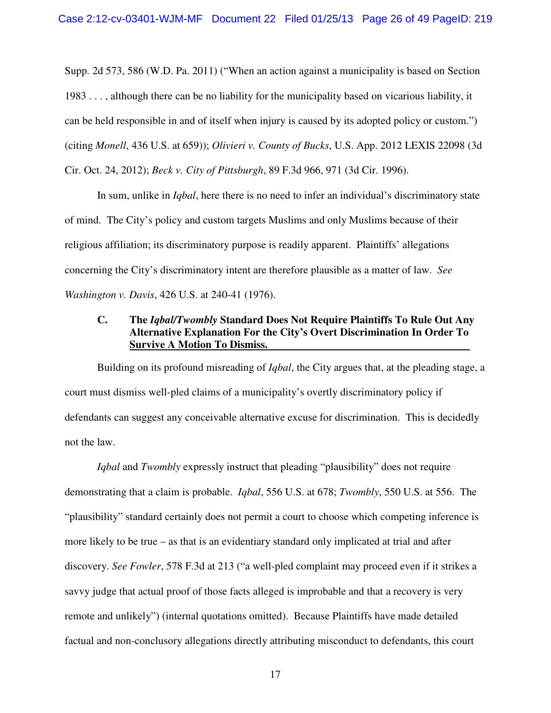Supp. 2d 573, 586 (W.D. Pa. 2011) ("When an action against a municipality is based on Section 1983 . . . , although there can be no liability for the municipality based on vicarious liability, it can be held responsible in and of itself when injury is caused by its adopted policy or custom.") (citing *Monell*, 436 U.S. at 659)); *Olivieri v. County of Bucks*, U.S. App. 2012 LEXIS 22098 (3d Cir. Oct. 24, 2012); *Beck v. City of Pittsburgh*, 89 F.3d 966, 971 (3d Cir. 1996).

In sum, unlike in *Iqbal*, here there is no need to infer an individual's discriminatory state of mind. The City's policy and custom targets Muslims and only Muslims because of their religious affiliation; its discriminatory purpose is readily apparent. Plaintiffs' allegations concerning the City's discriminatory intent are therefore plausible as a matter of law. *See Washington v. Davis*, 426 U.S. at 240-41 (1976).

## **C. The** *Iqbal/Twombly* **Standard Does Not Require Plaintiffs To Rule Out Any Alternative Explanation For the City's Overt Discrimination In Order To Survive A Motion To Dismiss.**

Building on its profound misreading of *Iqbal*, the City argues that, at the pleading stage, a court must dismiss well-pled claims of a municipality's overtly discriminatory policy if defendants can suggest any conceivable alternative excuse for discrimination. This is decidedly not the law.

*Iqbal* and *Twombly* expressly instruct that pleading "plausibility" does not require demonstrating that a claim is probable. *Iqbal*, 556 U.S. at 678; *Twombly*, 550 U.S. at 556. The "plausibility" standard certainly does not permit a court to choose which competing inference is more likely to be true – as that is an evidentiary standard only implicated at trial and after discovery. *See Fowler*, 578 F.3d at 213 ("a well-pled complaint may proceed even if it strikes a savvy judge that actual proof of those facts alleged is improbable and that a recovery is very remote and unlikely") (internal quotations omitted). Because Plaintiffs have made detailed factual and non-conclusory allegations directly attributing misconduct to defendants, this court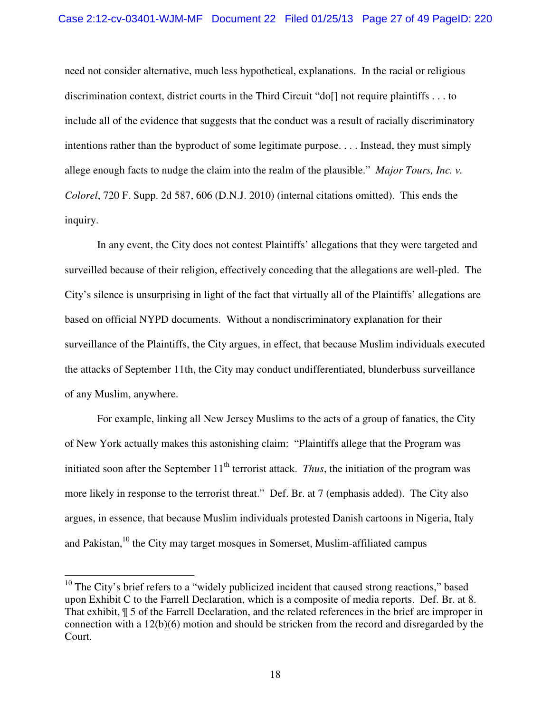need not consider alternative, much less hypothetical, explanations. In the racial or religious discrimination context, district courts in the Third Circuit "do[] not require plaintiffs . . . to include all of the evidence that suggests that the conduct was a result of racially discriminatory intentions rather than the byproduct of some legitimate purpose. . . . Instead, they must simply allege enough facts to nudge the claim into the realm of the plausible." *Major Tours, Inc. v. Colorel*, 720 F. Supp. 2d 587, 606 (D.N.J. 2010) (internal citations omitted). This ends the inquiry.

In any event, the City does not contest Plaintiffs' allegations that they were targeted and surveilled because of their religion, effectively conceding that the allegations are well-pled. The City's silence is unsurprising in light of the fact that virtually all of the Plaintiffs' allegations are based on official NYPD documents. Without a nondiscriminatory explanation for their surveillance of the Plaintiffs, the City argues, in effect, that because Muslim individuals executed the attacks of September 11th, the City may conduct undifferentiated, blunderbuss surveillance of any Muslim, anywhere.

For example, linking all New Jersey Muslims to the acts of a group of fanatics, the City of New York actually makes this astonishing claim: "Plaintiffs allege that the Program was initiated soon after the September  $11<sup>th</sup>$  terrorist attack. *Thus*, the initiation of the program was more likely in response to the terrorist threat." Def. Br. at 7 (emphasis added). The City also argues, in essence, that because Muslim individuals protested Danish cartoons in Nigeria, Italy and Pakistan,<sup>10</sup> the City may target mosques in Somerset, Muslim-affiliated campus

 $\overline{a}$ 

 $10$  The City's brief refers to a "widely publicized incident that caused strong reactions," based upon Exhibit C to the Farrell Declaration, which is a composite of media reports. Def. Br. at 8. That exhibit, ¶ 5 of the Farrell Declaration, and the related references in the brief are improper in connection with a 12(b)(6) motion and should be stricken from the record and disregarded by the Court.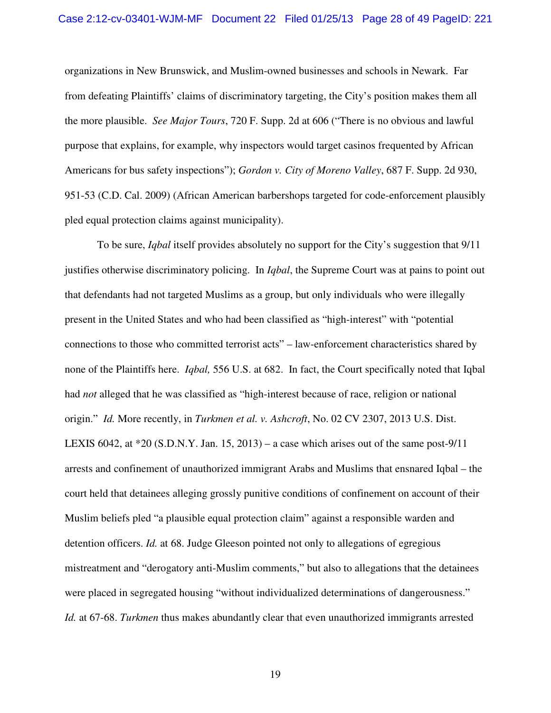#### Case 2:12-cv-03401-WJM-MF Document 22 Filed 01/25/13 Page 28 of 49 PageID: 221

organizations in New Brunswick, and Muslim-owned businesses and schools in Newark. Far from defeating Plaintiffs' claims of discriminatory targeting, the City's position makes them all the more plausible. *See Major Tours*, 720 F. Supp. 2d at 606 ("There is no obvious and lawful purpose that explains, for example, why inspectors would target casinos frequented by African Americans for bus safety inspections"); *Gordon v. City of Moreno Valley*, 687 F. Supp. 2d 930, 951-53 (C.D. Cal. 2009) (African American barbershops targeted for code-enforcement plausibly pled equal protection claims against municipality).

To be sure, *Iqbal* itself provides absolutely no support for the City's suggestion that 9/11 justifies otherwise discriminatory policing. In *Iqbal*, the Supreme Court was at pains to point out that defendants had not targeted Muslims as a group, but only individuals who were illegally present in the United States and who had been classified as "high-interest" with "potential connections to those who committed terrorist acts" – law-enforcement characteristics shared by none of the Plaintiffs here. *Iqbal,* 556 U.S. at 682. In fact, the Court specifically noted that Iqbal had *not* alleged that he was classified as "high-interest because of race, religion or national origin." *Id.* More recently, in *Turkmen et al. v. Ashcroft*, No. 02 CV 2307, 2013 U.S. Dist. LEXIS 6042, at  $*20$  (S.D.N.Y. Jan. 15, 2013) – a case which arises out of the same post-9/11 arrests and confinement of unauthorized immigrant Arabs and Muslims that ensnared Iqbal – the court held that detainees alleging grossly punitive conditions of confinement on account of their Muslim beliefs pled "a plausible equal protection claim" against a responsible warden and detention officers. *Id.* at 68. Judge Gleeson pointed not only to allegations of egregious mistreatment and "derogatory anti-Muslim comments," but also to allegations that the detainees were placed in segregated housing "without individualized determinations of dangerousness." *Id.* at 67-68. *Turkmen* thus makes abundantly clear that even unauthorized immigrants arrested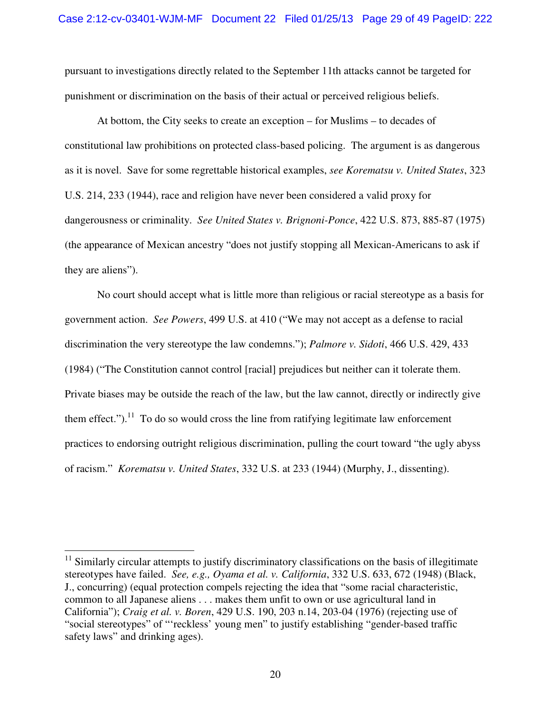pursuant to investigations directly related to the September 11th attacks cannot be targeted for punishment or discrimination on the basis of their actual or perceived religious beliefs.

At bottom, the City seeks to create an exception – for Muslims – to decades of constitutional law prohibitions on protected class-based policing. The argument is as dangerous as it is novel. Save for some regrettable historical examples, *see Korematsu v. United States*, 323 U.S. 214, 233 (1944), race and religion have never been considered a valid proxy for dangerousness or criminality. *See United States v. Brignoni-Ponce*, 422 U.S. 873, 885-87 (1975) (the appearance of Mexican ancestry "does not justify stopping all Mexican-Americans to ask if they are aliens").

No court should accept what is little more than religious or racial stereotype as a basis for government action. *See Powers*, 499 U.S. at 410 ("We may not accept as a defense to racial discrimination the very stereotype the law condemns."); *Palmore v. Sidoti*, 466 U.S. 429, 433 (1984) ("The Constitution cannot control [racial] prejudices but neither can it tolerate them. Private biases may be outside the reach of the law, but the law cannot, directly or indirectly give them effect.").<sup>11</sup> To do so would cross the line from ratifying legitimate law enforcement practices to endorsing outright religious discrimination, pulling the court toward "the ugly abyss of racism." *Korematsu v. United States*, 332 U.S. at 233 (1944) (Murphy, J., dissenting).

 $\overline{\phantom{a}}$ 

 $11$  Similarly circular attempts to justify discriminatory classifications on the basis of illegitimate stereotypes have failed. *See, e.g., Oyama et al. v. California*, 332 U.S. 633, 672 (1948) (Black, J., concurring) (equal protection compels rejecting the idea that "some racial characteristic, common to all Japanese aliens . . . makes them unfit to own or use agricultural land in California"); *Craig et al. v. Boren*, 429 U.S. 190, 203 n.14, 203-04 (1976) (rejecting use of "social stereotypes" of "'reckless' young men" to justify establishing "gender-based traffic safety laws" and drinking ages).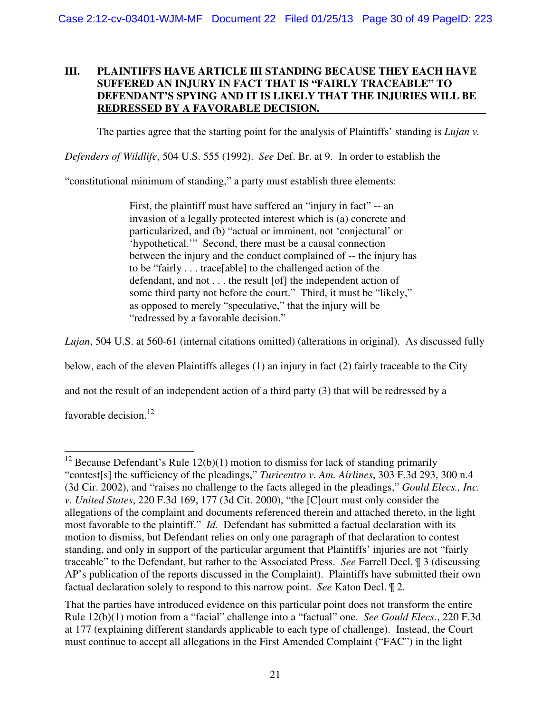## **III. PLAINTIFFS HAVE ARTICLE III STANDING BECAUSE THEY EACH HAVE SUFFERED AN INJURY IN FACT THAT IS "FAIRLY TRACEABLE" TO DEFENDANT'S SPYING AND IT IS LIKELY THAT THE INJURIES WILL BE REDRESSED BY A FAVORABLE DECISION.**

The parties agree that the starting point for the analysis of Plaintiffs' standing is *Lujan v.* 

*Defenders of Wildlife*, 504 U.S. 555 (1992). *See* Def. Br. at 9. In order to establish the

"constitutional minimum of standing," a party must establish three elements:

First, the plaintiff must have suffered an "injury in fact" -- an invasion of a legally protected interest which is (a) concrete and particularized, and (b) "actual or imminent, not 'conjectural' or 'hypothetical.'" Second, there must be a causal connection between the injury and the conduct complained of -- the injury has to be "fairly . . . trace[able] to the challenged action of the defendant, and not . . . the result [of] the independent action of some third party not before the court." Third, it must be "likely," as opposed to merely "speculative," that the injury will be "redressed by a favorable decision."

*Lujan*, 504 U.S. at 560-61 (internal citations omitted) (alterations in original). As discussed fully

below, each of the eleven Plaintiffs alleges (1) an injury in fact (2) fairly traceable to the City

and not the result of an independent action of a third party (3) that will be redressed by a

favorable decision. $12$ 

 $\overline{a}$ <sup>12</sup> Because Defendant's Rule  $12(b)(1)$  motion to dismiss for lack of standing primarily "contest[s] the sufficiency of the pleadings," *Turicentro v. Am. Airlines*, 303 F.3d 293, 300 n.4 (3d Cir. 2002), and "raises no challenge to the facts alleged in the pleadings," *Gould Elecs., Inc. v. United States*, 220 F.3d 169, 177 (3d Cit. 2000), "the [C]ourt must only consider the allegations of the complaint and documents referenced therein and attached thereto, in the light most favorable to the plaintiff." *Id.* Defendant has submitted a factual declaration with its motion to dismiss, but Defendant relies on only one paragraph of that declaration to contest standing, and only in support of the particular argument that Plaintiffs' injuries are not "fairly traceable" to the Defendant, but rather to the Associated Press. *See* Farrell Decl. ¶ 3 (discussing AP's publication of the reports discussed in the Complaint). Plaintiffs have submitted their own factual declaration solely to respond to this narrow point. *See* Katon Decl. ¶ 2.

That the parties have introduced evidence on this particular point does not transform the entire Rule 12(b)(1) motion from a "facial" challenge into a "factual" one. *See Gould Elecs.*, 220 F.3d at 177 (explaining different standards applicable to each type of challenge). Instead, the Court must continue to accept all allegations in the First Amended Complaint ("FAC") in the light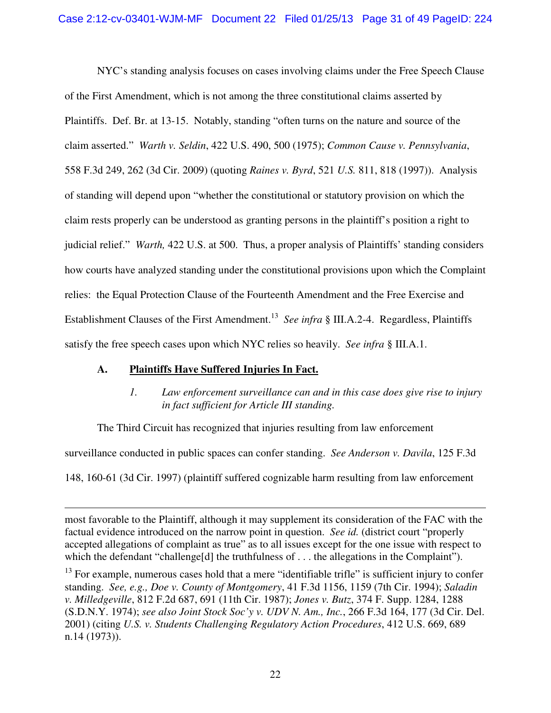NYC's standing analysis focuses on cases involving claims under the Free Speech Clause of the First Amendment, which is not among the three constitutional claims asserted by Plaintiffs. Def. Br. at 13-15. Notably, standing "often turns on the nature and source of the claim asserted." *Warth v. Seldin*, 422 U.S. 490, 500 (1975); *Common Cause v. Pennsylvania*, 558 F.3d 249, 262 (3d Cir. 2009) (quoting *Raines v. Byrd*, 521 *U.S.* 811, 818 (1997)). Analysis of standing will depend upon "whether the constitutional or statutory provision on which the claim rests properly can be understood as granting persons in the plaintiff's position a right to judicial relief." *Warth,* 422 U.S. at 500. Thus, a proper analysis of Plaintiffs' standing considers how courts have analyzed standing under the constitutional provisions upon which the Complaint relies: the Equal Protection Clause of the Fourteenth Amendment and the Free Exercise and Establishment Clauses of the First Amendment.<sup>13</sup> See infra § III.A.2-4. Regardless, Plaintiffs satisfy the free speech cases upon which NYC relies so heavily. *See infra* § III.A.1.

## **A. Plaintiffs Have Suffered Injuries In Fact.**

 $\overline{a}$ 

## *1. Law enforcement surveillance can and in this case does give rise to injury in fact sufficient for Article III standing.*

The Third Circuit has recognized that injuries resulting from law enforcement

surveillance conducted in public spaces can confer standing. *See Anderson v. Davila*, 125 F.3d

148, 160-61 (3d Cir. 1997) (plaintiff suffered cognizable harm resulting from law enforcement

most favorable to the Plaintiff, although it may supplement its consideration of the FAC with the factual evidence introduced on the narrow point in question. *See id.* (district court "properly accepted allegations of complaint as true" as to all issues except for the one issue with respect to which the defendant "challenge<sup>[d]</sup> the truthfulness of . . . the allegations in the Complaint").

<sup>&</sup>lt;sup>13</sup> For example, numerous cases hold that a mere "identifiable trifle" is sufficient injury to confer standing. *See, e.g., Doe v. County of Montgomery*, 41 F.3d 1156, 1159 (7th Cir. 1994); *Saladin v. Milledgeville*, 812 F.2d 687, 691 (11th Cir. 1987); *Jones v. Butz*, 374 F. Supp. 1284, 1288 (S.D.N.Y. 1974); *see also Joint Stock Soc'y v. UDV N. Am., Inc.*, 266 F.3d 164, 177 (3d Cir. Del. 2001) (citing *U.S. v. Students Challenging Regulatory Action Procedures*, 412 U.S. 669, 689 n.14 (1973)).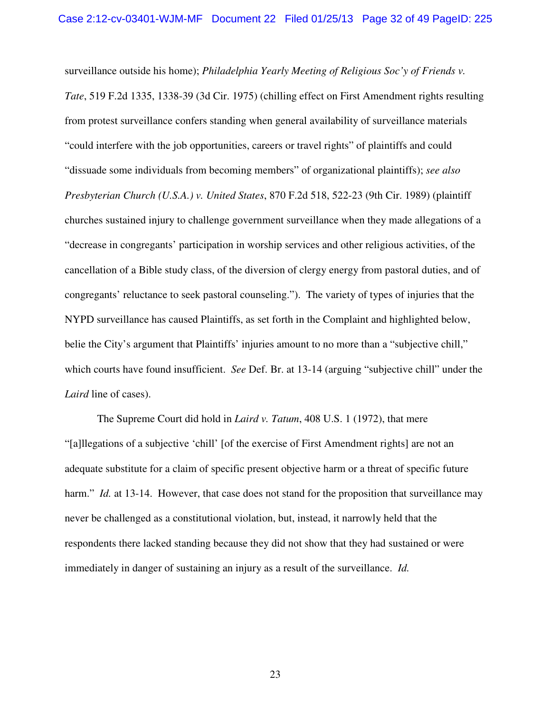surveillance outside his home); *Philadelphia Yearly Meeting of Religious Soc'y of Friends v. Tate*, 519 F.2d 1335, 1338-39 (3d Cir. 1975) (chilling effect on First Amendment rights resulting from protest surveillance confers standing when general availability of surveillance materials "could interfere with the job opportunities, careers or travel rights" of plaintiffs and could "dissuade some individuals from becoming members" of organizational plaintiffs); *see also Presbyterian Church (U.S.A.) v. United States*, 870 F.2d 518, 522-23 (9th Cir. 1989) (plaintiff churches sustained injury to challenge government surveillance when they made allegations of a "decrease in congregants' participation in worship services and other religious activities, of the cancellation of a Bible study class, of the diversion of clergy energy from pastoral duties, and of congregants' reluctance to seek pastoral counseling."). The variety of types of injuries that the NYPD surveillance has caused Plaintiffs, as set forth in the Complaint and highlighted below, belie the City's argument that Plaintiffs' injuries amount to no more than a "subjective chill," which courts have found insufficient. *See* Def. Br. at 13-14 (arguing "subjective chill" under the *Laird* line of cases).

The Supreme Court did hold in *Laird v. Tatum*, 408 U.S. 1 (1972), that mere "[a]llegations of a subjective 'chill' [of the exercise of First Amendment rights] are not an adequate substitute for a claim of specific present objective harm or a threat of specific future harm." *Id.* at 13-14. However, that case does not stand for the proposition that surveillance may never be challenged as a constitutional violation, but, instead, it narrowly held that the respondents there lacked standing because they did not show that they had sustained or were immediately in danger of sustaining an injury as a result of the surveillance. *Id.*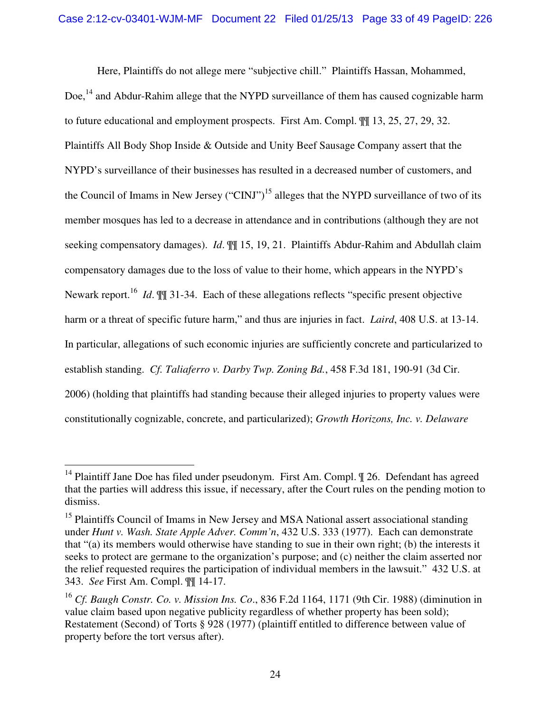Here, Plaintiffs do not allege mere "subjective chill." Plaintiffs Hassan, Mohammed, Doe,<sup>14</sup> and Abdur-Rahim allege that the NYPD surveillance of them has caused cognizable harm to future educational and employment prospects. First Am. Compl. ¶¶ 13, 25, 27, 29, 32. Plaintiffs All Body Shop Inside & Outside and Unity Beef Sausage Company assert that the NYPD's surveillance of their businesses has resulted in a decreased number of customers, and the Council of Imams in New Jersey ("CINJ")<sup>15</sup> alleges that the NYPD surveillance of two of its member mosques has led to a decrease in attendance and in contributions (although they are not seeking compensatory damages). *Id*. ¶¶ 15, 19, 21. Plaintiffs Abdur-Rahim and Abdullah claim compensatory damages due to the loss of value to their home, which appears in the NYPD's Newark report.<sup>16</sup> *Id*.  $\mathbb{M}$  31-34. Each of these allegations reflects "specific present objective harm or a threat of specific future harm," and thus are injuries in fact. *Laird*, 408 U.S. at 13-14. In particular, allegations of such economic injuries are sufficiently concrete and particularized to establish standing. *Cf. Taliaferro v. Darby Twp. Zoning Bd.*, 458 F.3d 181, 190-91 (3d Cir. 2006) (holding that plaintiffs had standing because their alleged injuries to property values were constitutionally cognizable, concrete, and particularized); *Growth Horizons, Inc. v. Delaware* 

 $\overline{a}$ 

<sup>&</sup>lt;sup>14</sup> Plaintiff Jane Doe has filed under pseudonym. First Am. Compl. ¶ 26. Defendant has agreed that the parties will address this issue, if necessary, after the Court rules on the pending motion to dismiss.

<sup>&</sup>lt;sup>15</sup> Plaintiffs Council of Imams in New Jersey and MSA National assert associational standing under *Hunt v. Wash. State Apple Adver. Comm'n*, 432 U.S. 333 (1977). Each can demonstrate that "(a) its members would otherwise have standing to sue in their own right; (b) the interests it seeks to protect are germane to the organization's purpose; and (c) neither the claim asserted nor the relief requested requires the participation of individual members in the lawsuit." 432 U.S. at 343. *See* First Am. Compl. ¶¶ 14-17.

<sup>16</sup> *Cf. Baugh Constr. Co. v. Mission Ins. Co*., 836 F.2d 1164, 1171 (9th Cir. 1988) (diminution in value claim based upon negative publicity regardless of whether property has been sold); Restatement (Second) of Torts § 928 (1977) (plaintiff entitled to difference between value of property before the tort versus after).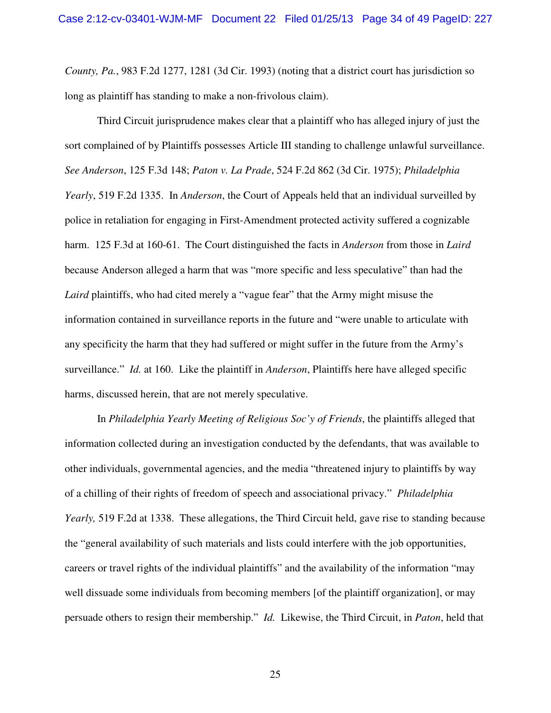*County, Pa.*, 983 F.2d 1277, 1281 (3d Cir. 1993) (noting that a district court has jurisdiction so long as plaintiff has standing to make a non-frivolous claim).

Third Circuit jurisprudence makes clear that a plaintiff who has alleged injury of just the sort complained of by Plaintiffs possesses Article III standing to challenge unlawful surveillance. *See Anderson*, 125 F.3d 148; *Paton v. La Prade*, 524 F.2d 862 (3d Cir. 1975); *Philadelphia Yearly*, 519 F.2d 1335. In *Anderson*, the Court of Appeals held that an individual surveilled by police in retaliation for engaging in First-Amendment protected activity suffered a cognizable harm. 125 F.3d at 160-61. The Court distinguished the facts in *Anderson* from those in *Laird* because Anderson alleged a harm that was "more specific and less speculative" than had the *Laird* plaintiffs, who had cited merely a "vague fear" that the Army might misuse the information contained in surveillance reports in the future and "were unable to articulate with any specificity the harm that they had suffered or might suffer in the future from the Army's surveillance." *Id.* at 160. Like the plaintiff in *Anderson*, Plaintiffs here have alleged specific harms, discussed herein, that are not merely speculative.

In *Philadelphia Yearly Meeting of Religious Soc'y of Friends*, the plaintiffs alleged that information collected during an investigation conducted by the defendants, that was available to other individuals, governmental agencies, and the media "threatened injury to plaintiffs by way of a chilling of their rights of freedom of speech and associational privacy." *Philadelphia Yearly*, 519 F.2d at 1338. These allegations, the Third Circuit held, gave rise to standing because the "general availability of such materials and lists could interfere with the job opportunities, careers or travel rights of the individual plaintiffs" and the availability of the information "may well dissuade some individuals from becoming members [of the plaintiff organization], or may persuade others to resign their membership." *Id.* Likewise, the Third Circuit, in *Paton*, held that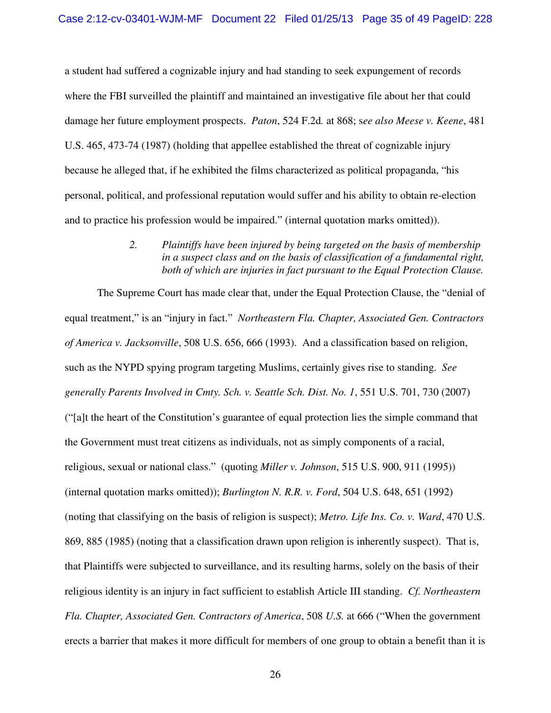a student had suffered a cognizable injury and had standing to seek expungement of records where the FBI surveilled the plaintiff and maintained an investigative file about her that could damage her future employment prospects. *Paton*, 524 F.2d*.* at 868; s*ee also Meese v. Keene*, 481 U.S. 465, 473-74 (1987) (holding that appellee established the threat of cognizable injury because he alleged that, if he exhibited the films characterized as political propaganda, "his personal, political, and professional reputation would suffer and his ability to obtain re-election and to practice his profession would be impaired." (internal quotation marks omitted)).

> *2. Plaintiffs have been injured by being targeted on the basis of membership in a suspect class and on the basis of classification of a fundamental right, both of which are injuries in fact pursuant to the Equal Protection Clause.*

The Supreme Court has made clear that, under the Equal Protection Clause, the "denial of equal treatment," is an "injury in fact." *Northeastern Fla. Chapter, Associated Gen. Contractors of America v. Jacksonville*, 508 U.S. 656, 666 (1993). And a classification based on religion, such as the NYPD spying program targeting Muslims, certainly gives rise to standing. *See generally Parents Involved in Cmty. Sch. v. Seattle Sch. Dist. No. 1*, 551 U.S. 701, 730 (2007) ("[a]t the heart of the Constitution's guarantee of equal protection lies the simple command that the Government must treat citizens as individuals, not as simply components of a racial, religious, sexual or national class." (quoting *Miller v. Johnson*, 515 U.S. 900, 911 (1995)) (internal quotation marks omitted)); *Burlington N. R.R. v. Ford*, 504 U.S. 648, 651 (1992) (noting that classifying on the basis of religion is suspect); *Metro. Life Ins. Co. v. Ward*, 470 U.S. 869, 885 (1985) (noting that a classification drawn upon religion is inherently suspect). That is, that Plaintiffs were subjected to surveillance, and its resulting harms, solely on the basis of their religious identity is an injury in fact sufficient to establish Article III standing. *Cf. Northeastern Fla. Chapter, Associated Gen. Contractors of America*, 508 *U.S.* at 666 ("When the government erects a barrier that makes it more difficult for members of one group to obtain a benefit than it is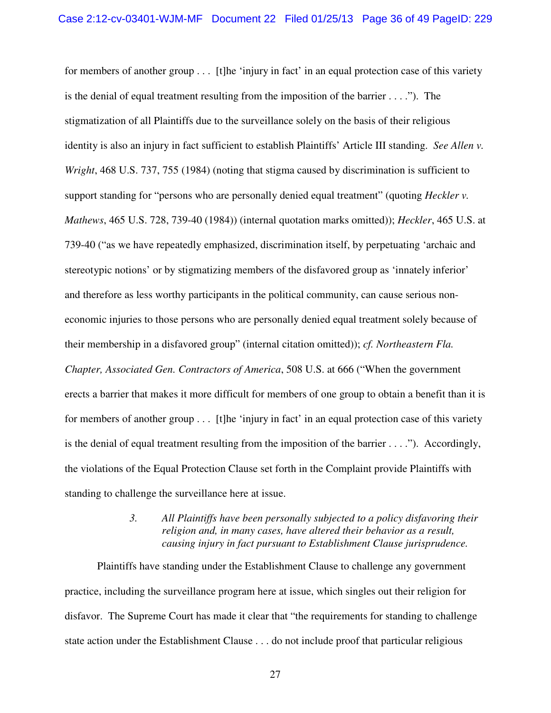for members of another group . . . [t]he 'injury in fact' in an equal protection case of this variety is the denial of equal treatment resulting from the imposition of the barrier  $\dots$ ..."). The stigmatization of all Plaintiffs due to the surveillance solely on the basis of their religious identity is also an injury in fact sufficient to establish Plaintiffs' Article III standing. *See Allen v. Wright*, 468 U.S. 737, 755 (1984) (noting that stigma caused by discrimination is sufficient to support standing for "persons who are personally denied equal treatment" (quoting *Heckler v. Mathews*, 465 U.S. 728, 739-40 (1984)) (internal quotation marks omitted)); *Heckler*, 465 U.S. at 739-40 ("as we have repeatedly emphasized, discrimination itself, by perpetuating 'archaic and stereotypic notions' or by stigmatizing members of the disfavored group as 'innately inferior' and therefore as less worthy participants in the political community, can cause serious noneconomic injuries to those persons who are personally denied equal treatment solely because of their membership in a disfavored group" (internal citation omitted)); *cf. Northeastern Fla. Chapter, Associated Gen. Contractors of America*, 508 U.S. at 666 ("When the government erects a barrier that makes it more difficult for members of one group to obtain a benefit than it is for members of another group . . . [t]he 'injury in fact' in an equal protection case of this variety is the denial of equal treatment resulting from the imposition of the barrier . . . ."). Accordingly, the violations of the Equal Protection Clause set forth in the Complaint provide Plaintiffs with standing to challenge the surveillance here at issue.

> *3. All Plaintiffs have been personally subjected to a policy disfavoring their religion and, in many cases, have altered their behavior as a result, causing injury in fact pursuant to Establishment Clause jurisprudence.*

Plaintiffs have standing under the Establishment Clause to challenge any government practice, including the surveillance program here at issue, which singles out their religion for disfavor. The Supreme Court has made it clear that "the requirements for standing to challenge state action under the Establishment Clause . . . do not include proof that particular religious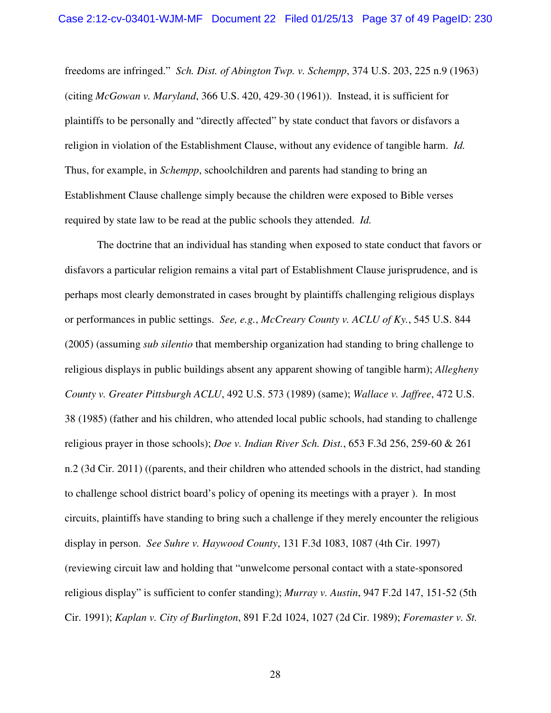freedoms are infringed." *Sch. Dist. of Abington Twp. v. Schempp*, 374 U.S. 203, 225 n.9 (1963) (citing *McGowan v. Maryland*, 366 U.S. 420, 429-30 (1961)). Instead, it is sufficient for plaintiffs to be personally and "directly affected" by state conduct that favors or disfavors a religion in violation of the Establishment Clause, without any evidence of tangible harm. *Id.* Thus, for example, in *Schempp*, schoolchildren and parents had standing to bring an Establishment Clause challenge simply because the children were exposed to Bible verses required by state law to be read at the public schools they attended. *Id.*

The doctrine that an individual has standing when exposed to state conduct that favors or disfavors a particular religion remains a vital part of Establishment Clause jurisprudence, and is perhaps most clearly demonstrated in cases brought by plaintiffs challenging religious displays or performances in public settings. *See, e.g.*, *McCreary County v. ACLU of Ky.*, 545 U.S. 844 (2005) (assuming *sub silentio* that membership organization had standing to bring challenge to religious displays in public buildings absent any apparent showing of tangible harm); *Allegheny County v. Greater Pittsburgh ACLU*, 492 U.S. 573 (1989) (same); *Wallace v. Jaffree*, 472 U.S. 38 (1985) (father and his children, who attended local public schools, had standing to challenge religious prayer in those schools); *Doe v. Indian River Sch. Dist.*, 653 F.3d 256, 259-60 & 261 n.2 (3d Cir. 2011) ((parents, and their children who attended schools in the district, had standing to challenge school district board's policy of opening its meetings with a prayer ). In most circuits, plaintiffs have standing to bring such a challenge if they merely encounter the religious display in person. *See Suhre v. Haywood County*, 131 F.3d 1083, 1087 (4th Cir. 1997) (reviewing circuit law and holding that "unwelcome personal contact with a state-sponsored religious display" is sufficient to confer standing); *Murray v. Austin*, 947 F.2d 147, 151-52 (5th Cir. 1991); *Kaplan v. City of Burlington*, 891 F.2d 1024, 1027 (2d Cir. 1989); *Foremaster v. St.*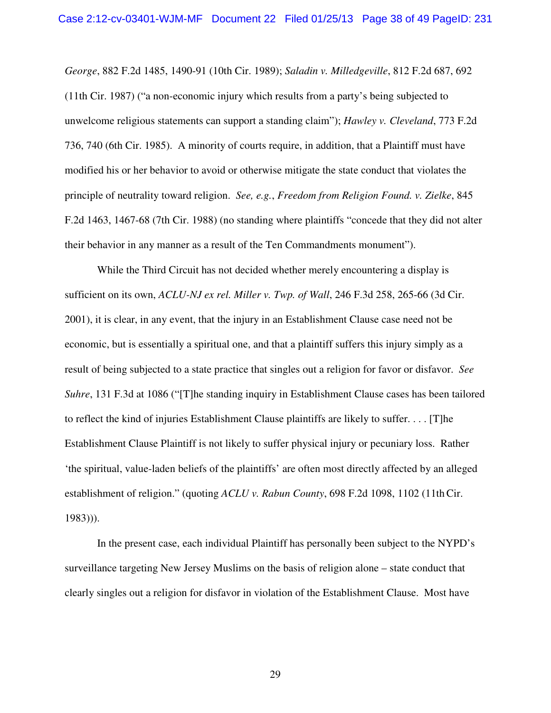*George*, 882 F.2d 1485, 1490-91 (10th Cir. 1989); *Saladin v. Milledgeville*, 812 F.2d 687, 692 (11th Cir. 1987) ("a non-economic injury which results from a party's being subjected to unwelcome religious statements can support a standing claim"); *Hawley v. Cleveland*, 773 F.2d 736, 740 (6th Cir. 1985). A minority of courts require, in addition, that a Plaintiff must have modified his or her behavior to avoid or otherwise mitigate the state conduct that violates the principle of neutrality toward religion. *See, e.g.*, *Freedom from Religion Found. v. Zielke*, 845 F.2d 1463, 1467-68 (7th Cir. 1988) (no standing where plaintiffs "concede that they did not alter their behavior in any manner as a result of the Ten Commandments monument").

While the Third Circuit has not decided whether merely encountering a display is sufficient on its own, *ACLU-NJ ex rel. Miller v. Twp. of Wall*, 246 F.3d 258, 265-66 (3d Cir. 2001), it is clear, in any event, that the injury in an Establishment Clause case need not be economic, but is essentially a spiritual one, and that a plaintiff suffers this injury simply as a result of being subjected to a state practice that singles out a religion for favor or disfavor. *See Suhre*, 131 F.3d at 1086 ("The standing inquiry in Establishment Clause cases has been tailored to reflect the kind of injuries Establishment Clause plaintiffs are likely to suffer. . . . [T]he Establishment Clause Plaintiff is not likely to suffer physical injury or pecuniary loss. Rather 'the spiritual, value-laden beliefs of the plaintiffs' are often most directly affected by an alleged establishment of religion." (quoting *ACLU v. Rabun County*, 698 F.2d 1098, 1102 (11th Cir. 1983))).

In the present case, each individual Plaintiff has personally been subject to the NYPD's surveillance targeting New Jersey Muslims on the basis of religion alone – state conduct that clearly singles out a religion for disfavor in violation of the Establishment Clause. Most have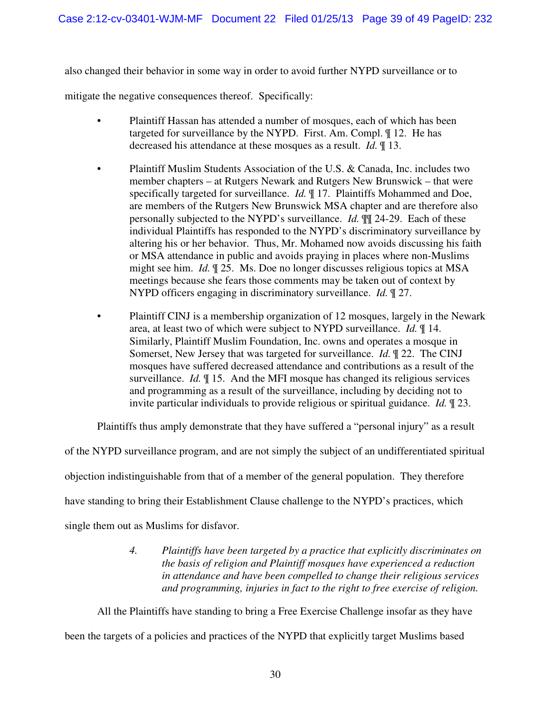also changed their behavior in some way in order to avoid further NYPD surveillance or to

mitigate the negative consequences thereof. Specifically:

- Plaintiff Hassan has attended a number of mosques, each of which has been targeted for surveillance by the NYPD. First. Am. Compl. ¶ 12. He has decreased his attendance at these mosques as a result. *Id.* ¶ 13.
- Plaintiff Muslim Students Association of the U.S. & Canada, Inc. includes two member chapters – at Rutgers Newark and Rutgers New Brunswick – that were specifically targeted for surveillance. *Id.* ¶ 17. Plaintiffs Mohammed and Doe, are members of the Rutgers New Brunswick MSA chapter and are therefore also personally subjected to the NYPD's surveillance. *Id.* ¶¶ 24-29. Each of these individual Plaintiffs has responded to the NYPD's discriminatory surveillance by altering his or her behavior. Thus, Mr. Mohamed now avoids discussing his faith or MSA attendance in public and avoids praying in places where non-Muslims might see him. *Id.* ¶ 25. Ms. Doe no longer discusses religious topics at MSA meetings because she fears those comments may be taken out of context by NYPD officers engaging in discriminatory surveillance. *Id.* ¶ 27.
- Plaintiff CINJ is a membership organization of 12 mosques, largely in the Newark area, at least two of which were subject to NYPD surveillance. *Id.* ¶ 14. Similarly, Plaintiff Muslim Foundation, Inc. owns and operates a mosque in Somerset, New Jersey that was targeted for surveillance. *Id.* ¶ 22. The CINJ mosques have suffered decreased attendance and contributions as a result of the surveillance. *Id.* ¶ 15. And the MFI mosque has changed its religious services and programming as a result of the surveillance, including by deciding not to invite particular individuals to provide religious or spiritual guidance. *Id.* ¶ 23.

Plaintiffs thus amply demonstrate that they have suffered a "personal injury" as a result

of the NYPD surveillance program, and are not simply the subject of an undifferentiated spiritual objection indistinguishable from that of a member of the general population. They therefore have standing to bring their Establishment Clause challenge to the NYPD's practices, which single them out as Muslims for disfavor.

> *4. Plaintiffs have been targeted by a practice that explicitly discriminates on the basis of religion and Plaintiff mosques have experienced a reduction in attendance and have been compelled to change their religious services and programming, injuries in fact to the right to free exercise of religion.*

All the Plaintiffs have standing to bring a Free Exercise Challenge insofar as they have been the targets of a policies and practices of the NYPD that explicitly target Muslims based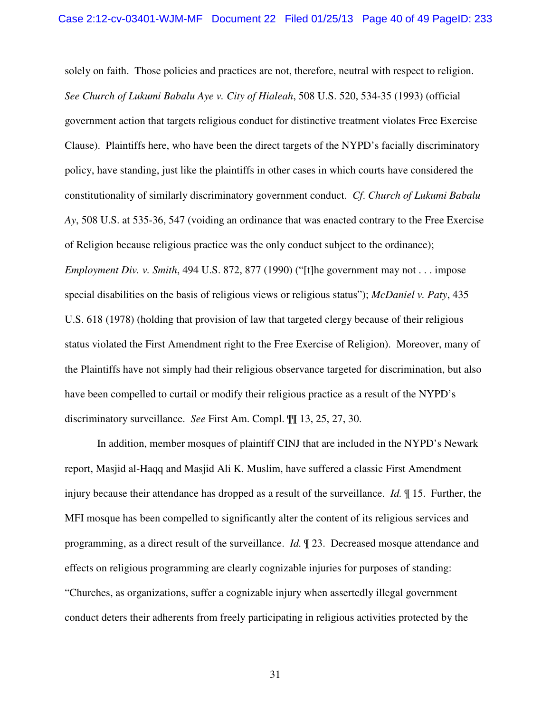solely on faith. Those policies and practices are not, therefore, neutral with respect to religion. *See Church of Lukumi Babalu Aye v. City of Hialeah*, 508 U.S. 520, 534-35 (1993) (official government action that targets religious conduct for distinctive treatment violates Free Exercise Clause). Plaintiffs here, who have been the direct targets of the NYPD's facially discriminatory policy, have standing, just like the plaintiffs in other cases in which courts have considered the constitutionality of similarly discriminatory government conduct. *Cf*. *Church of Lukumi Babalu Ay*, 508 U.S. at 535-36, 547 (voiding an ordinance that was enacted contrary to the Free Exercise of Religion because religious practice was the only conduct subject to the ordinance); *Employment Div. v. Smith*, 494 U.S. 872, 877 (1990) ("[t]he government may not . . . impose special disabilities on the basis of religious views or religious status"); *McDaniel v. Paty*, 435 U.S. 618 (1978) (holding that provision of law that targeted clergy because of their religious status violated the First Amendment right to the Free Exercise of Religion). Moreover, many of the Plaintiffs have not simply had their religious observance targeted for discrimination, but also have been compelled to curtail or modify their religious practice as a result of the NYPD's discriminatory surveillance. *See* First Am. Compl. ¶¶ 13, 25, 27, 30.

In addition, member mosques of plaintiff CINJ that are included in the NYPD's Newark report, Masjid al-Haqq and Masjid Ali K. Muslim, have suffered a classic First Amendment injury because their attendance has dropped as a result of the surveillance. *Id.* ¶ 15. Further, the MFI mosque has been compelled to significantly alter the content of its religious services and programming, as a direct result of the surveillance. *Id.* ¶ 23. Decreased mosque attendance and effects on religious programming are clearly cognizable injuries for purposes of standing: "Churches, as organizations, suffer a cognizable injury when assertedly illegal government conduct deters their adherents from freely participating in religious activities protected by the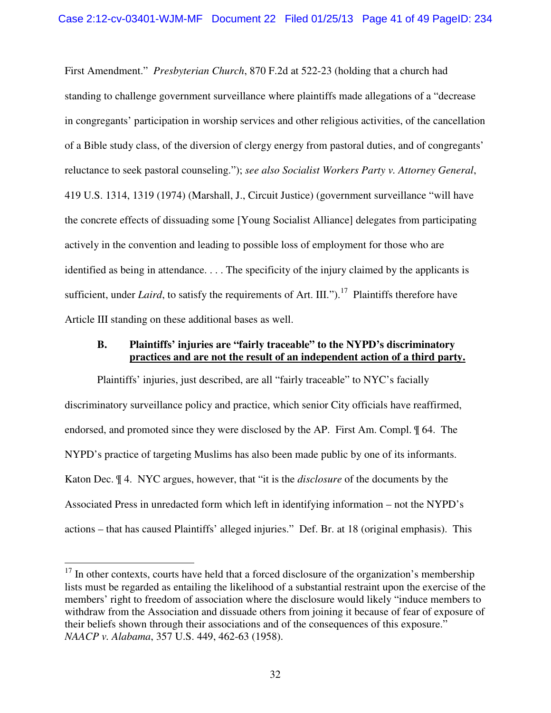First Amendment." *Presbyterian Church*, 870 F.2d at 522-23 (holding that a church had standing to challenge government surveillance where plaintiffs made allegations of a "decrease in congregants' participation in worship services and other religious activities, of the cancellation of a Bible study class, of the diversion of clergy energy from pastoral duties, and of congregants' reluctance to seek pastoral counseling."); *see also Socialist Workers Party v. Attorney General*, 419 U.S. 1314, 1319 (1974) (Marshall, J., Circuit Justice) (government surveillance "will have the concrete effects of dissuading some [Young Socialist Alliance] delegates from participating actively in the convention and leading to possible loss of employment for those who are identified as being in attendance. . . . The specificity of the injury claimed by the applicants is sufficient, under *Laird*, to satisfy the requirements of Art. III.").<sup>17</sup> Plaintiffs therefore have Article III standing on these additional bases as well.

#### **B. Plaintiffs' injuries are "fairly traceable" to the NYPD's discriminatory practices and are not the result of an independent action of a third party.**

Plaintiffs' injuries, just described, are all "fairly traceable" to NYC's facially discriminatory surveillance policy and practice, which senior City officials have reaffirmed, endorsed, and promoted since they were disclosed by the AP. First Am. Compl. ¶ 64. The NYPD's practice of targeting Muslims has also been made public by one of its informants. Katon Dec. ¶ 4. NYC argues, however, that "it is the *disclosure* of the documents by the Associated Press in unredacted form which left in identifying information – not the NYPD's actions – that has caused Plaintiffs' alleged injuries." Def. Br. at 18 (original emphasis). This

 $\overline{a}$ 

 $17$  In other contexts, courts have held that a forced disclosure of the organization's membership lists must be regarded as entailing the likelihood of a substantial restraint upon the exercise of the members' right to freedom of association where the disclosure would likely "induce members to withdraw from the Association and dissuade others from joining it because of fear of exposure of their beliefs shown through their associations and of the consequences of this exposure." *NAACP v. Alabama*, 357 U.S. 449, 462-63 (1958).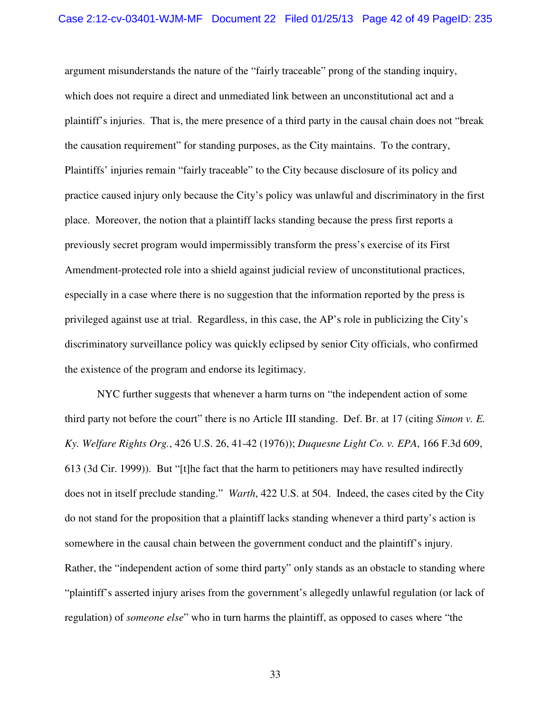argument misunderstands the nature of the "fairly traceable" prong of the standing inquiry, which does not require a direct and unmediated link between an unconstitutional act and a plaintiff's injuries. That is, the mere presence of a third party in the causal chain does not "break the causation requirement" for standing purposes, as the City maintains. To the contrary, Plaintiffs' injuries remain "fairly traceable" to the City because disclosure of its policy and practice caused injury only because the City's policy was unlawful and discriminatory in the first place. Moreover, the notion that a plaintiff lacks standing because the press first reports a previously secret program would impermissibly transform the press's exercise of its First Amendment-protected role into a shield against judicial review of unconstitutional practices, especially in a case where there is no suggestion that the information reported by the press is privileged against use at trial. Regardless, in this case, the AP's role in publicizing the City's discriminatory surveillance policy was quickly eclipsed by senior City officials, who confirmed the existence of the program and endorse its legitimacy.

NYC further suggests that whenever a harm turns on "the independent action of some third party not before the court" there is no Article III standing. Def. Br. at 17 (citing *Simon v. E. Ky. Welfare Rights Org.*, 426 U.S. 26, 41-42 (1976)); *Duquesne Light Co. v. EPA*, 166 F.3d 609, 613 (3d Cir. 1999)). But "[t]he fact that the harm to petitioners may have resulted indirectly does not in itself preclude standing." *Warth*, 422 U.S. at 504. Indeed, the cases cited by the City do not stand for the proposition that a plaintiff lacks standing whenever a third party's action is somewhere in the causal chain between the government conduct and the plaintiff's injury. Rather, the "independent action of some third party" only stands as an obstacle to standing where "plaintiff's asserted injury arises from the government's allegedly unlawful regulation (or lack of regulation) of *someone else*" who in turn harms the plaintiff, as opposed to cases where "the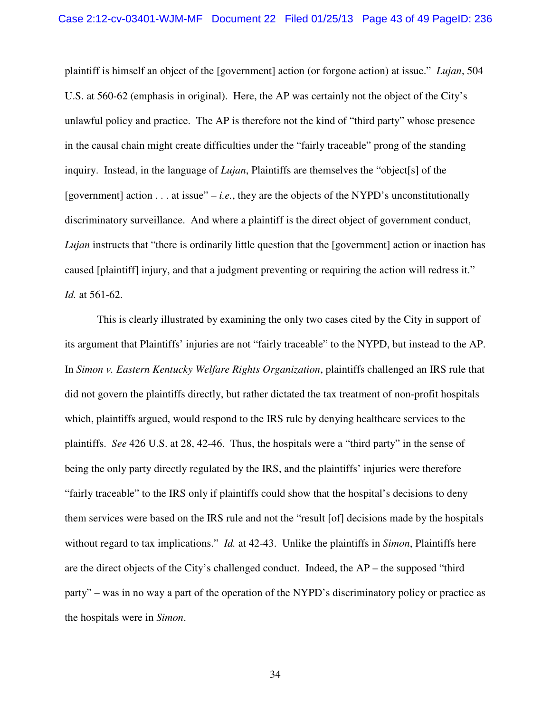#### Case 2:12-cv-03401-WJM-MF Document 22 Filed 01/25/13 Page 43 of 49 PageID: 236

plaintiff is himself an object of the [government] action (or forgone action) at issue." *Lujan*, 504 U.S. at 560-62 (emphasis in original). Here, the AP was certainly not the object of the City's unlawful policy and practice. The AP is therefore not the kind of "third party" whose presence in the causal chain might create difficulties under the "fairly traceable" prong of the standing inquiry. Instead, in the language of *Lujan*, Plaintiffs are themselves the "object[s] of the [government] action  $\dots$  at issue" – *i.e.*, they are the objects of the NYPD's unconstitutionally discriminatory surveillance. And where a plaintiff is the direct object of government conduct, *Lujan* instructs that "there is ordinarily little question that the [government] action or inaction has caused [plaintiff] injury, and that a judgment preventing or requiring the action will redress it." *Id.* at 561-62.

This is clearly illustrated by examining the only two cases cited by the City in support of its argument that Plaintiffs' injuries are not "fairly traceable" to the NYPD, but instead to the AP. In *Simon v. Eastern Kentucky Welfare Rights Organization*, plaintiffs challenged an IRS rule that did not govern the plaintiffs directly, but rather dictated the tax treatment of non-profit hospitals which, plaintiffs argued, would respond to the IRS rule by denying healthcare services to the plaintiffs. *See* 426 U.S. at 28, 42-46. Thus, the hospitals were a "third party" in the sense of being the only party directly regulated by the IRS, and the plaintiffs' injuries were therefore "fairly traceable" to the IRS only if plaintiffs could show that the hospital's decisions to deny them services were based on the IRS rule and not the "result [of] decisions made by the hospitals without regard to tax implications." *Id.* at 42-43. Unlike the plaintiffs in *Simon*, Plaintiffs here are the direct objects of the City's challenged conduct. Indeed, the AP – the supposed "third party" – was in no way a part of the operation of the NYPD's discriminatory policy or practice as the hospitals were in *Simon*.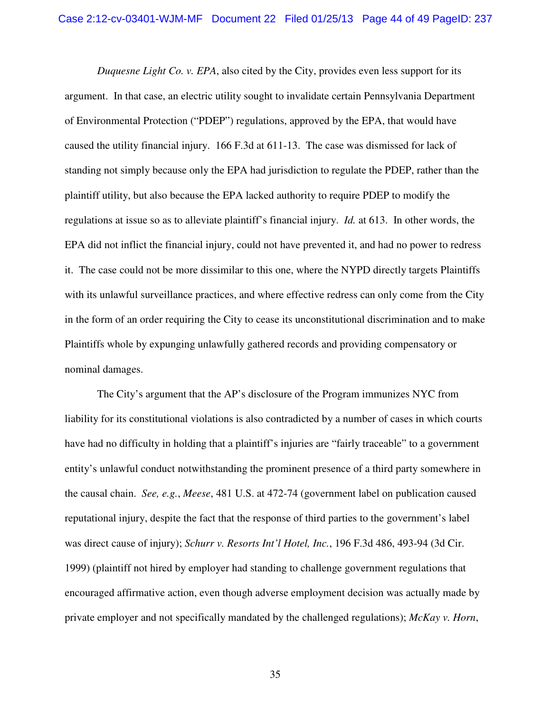*Duquesne Light Co. v. EPA*, also cited by the City, provides even less support for its argument. In that case, an electric utility sought to invalidate certain Pennsylvania Department of Environmental Protection ("PDEP") regulations, approved by the EPA, that would have caused the utility financial injury. 166 F.3d at 611-13. The case was dismissed for lack of standing not simply because only the EPA had jurisdiction to regulate the PDEP, rather than the plaintiff utility, but also because the EPA lacked authority to require PDEP to modify the regulations at issue so as to alleviate plaintiff's financial injury. *Id.* at 613. In other words, the EPA did not inflict the financial injury, could not have prevented it, and had no power to redress it. The case could not be more dissimilar to this one, where the NYPD directly targets Plaintiffs with its unlawful surveillance practices, and where effective redress can only come from the City in the form of an order requiring the City to cease its unconstitutional discrimination and to make Plaintiffs whole by expunging unlawfully gathered records and providing compensatory or nominal damages.

The City's argument that the AP's disclosure of the Program immunizes NYC from liability for its constitutional violations is also contradicted by a number of cases in which courts have had no difficulty in holding that a plaintiff's injuries are "fairly traceable" to a government entity's unlawful conduct notwithstanding the prominent presence of a third party somewhere in the causal chain. *See, e.g.*, *Meese*, 481 U.S. at 472-74 (government label on publication caused reputational injury, despite the fact that the response of third parties to the government's label was direct cause of injury); *Schurr v. Resorts Int'l Hotel, Inc.*, 196 F.3d 486, 493-94 (3d Cir. 1999) (plaintiff not hired by employer had standing to challenge government regulations that encouraged affirmative action, even though adverse employment decision was actually made by private employer and not specifically mandated by the challenged regulations); *McKay v. Horn*,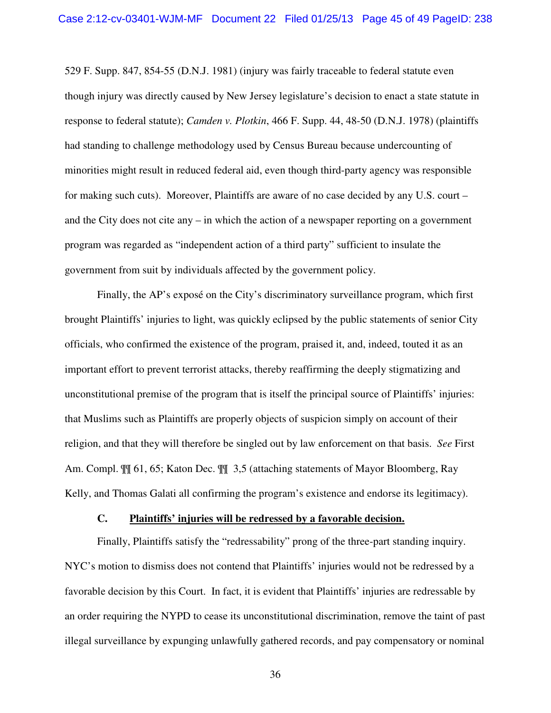529 F. Supp. 847, 854-55 (D.N.J. 1981) (injury was fairly traceable to federal statute even though injury was directly caused by New Jersey legislature's decision to enact a state statute in response to federal statute); *Camden v. Plotkin*, 466 F. Supp. 44, 48-50 (D.N.J. 1978) (plaintiffs had standing to challenge methodology used by Census Bureau because undercounting of minorities might result in reduced federal aid, even though third-party agency was responsible for making such cuts). Moreover, Plaintiffs are aware of no case decided by any U.S. court – and the City does not cite any – in which the action of a newspaper reporting on a government program was regarded as "independent action of a third party" sufficient to insulate the government from suit by individuals affected by the government policy.

Finally, the AP's exposé on the City's discriminatory surveillance program, which first brought Plaintiffs' injuries to light, was quickly eclipsed by the public statements of senior City officials, who confirmed the existence of the program, praised it, and, indeed, touted it as an important effort to prevent terrorist attacks, thereby reaffirming the deeply stigmatizing and unconstitutional premise of the program that is itself the principal source of Plaintiffs' injuries: that Muslims such as Plaintiffs are properly objects of suspicion simply on account of their religion, and that they will therefore be singled out by law enforcement on that basis. *See* First Am. Compl. ¶¶ 61, 65; Katon Dec. ¶¶ 3,5 (attaching statements of Mayor Bloomberg, Ray Kelly, and Thomas Galati all confirming the program's existence and endorse its legitimacy).

#### **C. Plaintiffs' injuries will be redressed by a favorable decision.**

Finally, Plaintiffs satisfy the "redressability" prong of the three-part standing inquiry. NYC's motion to dismiss does not contend that Plaintiffs' injuries would not be redressed by a favorable decision by this Court. In fact, it is evident that Plaintiffs' injuries are redressable by an order requiring the NYPD to cease its unconstitutional discrimination, remove the taint of past illegal surveillance by expunging unlawfully gathered records, and pay compensatory or nominal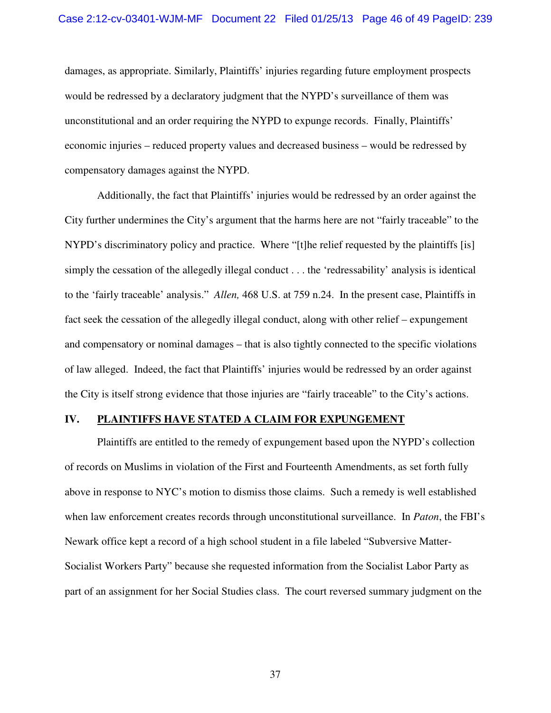#### Case 2:12-cv-03401-WJM-MF Document 22 Filed 01/25/13 Page 46 of 49 PageID: 239

damages, as appropriate. Similarly, Plaintiffs' injuries regarding future employment prospects would be redressed by a declaratory judgment that the NYPD's surveillance of them was unconstitutional and an order requiring the NYPD to expunge records. Finally, Plaintiffs' economic injuries – reduced property values and decreased business – would be redressed by compensatory damages against the NYPD.

Additionally, the fact that Plaintiffs' injuries would be redressed by an order against the City further undermines the City's argument that the harms here are not "fairly traceable" to the NYPD's discriminatory policy and practice. Where "[t]he relief requested by the plaintiffs [is] simply the cessation of the allegedly illegal conduct . . . the 'redressability' analysis is identical to the 'fairly traceable' analysis." *Allen,* 468 U.S. at 759 n.24. In the present case, Plaintiffs in fact seek the cessation of the allegedly illegal conduct, along with other relief – expungement and compensatory or nominal damages – that is also tightly connected to the specific violations of law alleged. Indeed, the fact that Plaintiffs' injuries would be redressed by an order against the City is itself strong evidence that those injuries are "fairly traceable" to the City's actions.

#### **IV. PLAINTIFFS HAVE STATED A CLAIM FOR EXPUNGEMENT**

Plaintiffs are entitled to the remedy of expungement based upon the NYPD's collection of records on Muslims in violation of the First and Fourteenth Amendments, as set forth fully above in response to NYC's motion to dismiss those claims. Such a remedy is well established when law enforcement creates records through unconstitutional surveillance. In *Paton*, the FBI's Newark office kept a record of a high school student in a file labeled "Subversive Matter-Socialist Workers Party" because she requested information from the Socialist Labor Party as part of an assignment for her Social Studies class. The court reversed summary judgment on the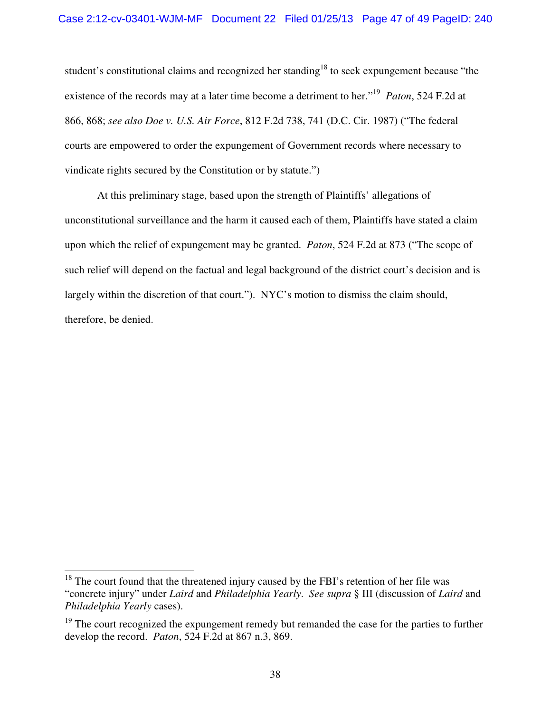student's constitutional claims and recognized her standing<sup>18</sup> to seek expungement because "the existence of the records may at a later time become a detriment to her."<sup>19</sup> Paton, 524 F.2d at 866, 868; *see also Doe v. U.S. Air Force*, 812 F.2d 738, 741 (D.C. Cir. 1987) ("The federal courts are empowered to order the expungement of Government records where necessary to vindicate rights secured by the Constitution or by statute.")

At this preliminary stage, based upon the strength of Plaintiffs' allegations of unconstitutional surveillance and the harm it caused each of them, Plaintiffs have stated a claim upon which the relief of expungement may be granted. *Paton*, 524 F.2d at 873 ("The scope of such relief will depend on the factual and legal background of the district court's decision and is largely within the discretion of that court."). NYC's motion to dismiss the claim should, therefore, be denied.

 $\overline{a}$  $18$  The court found that the threatened injury caused by the FBI's retention of her file was "concrete injury" under *Laird* and *Philadelphia Yearly*. *See supra* § III (discussion of *Laird* and *Philadelphia Yearly* cases).

<sup>&</sup>lt;sup>19</sup> The court recognized the expungement remedy but remanded the case for the parties to further develop the record. *Paton*, 524 F.2d at 867 n.3, 869.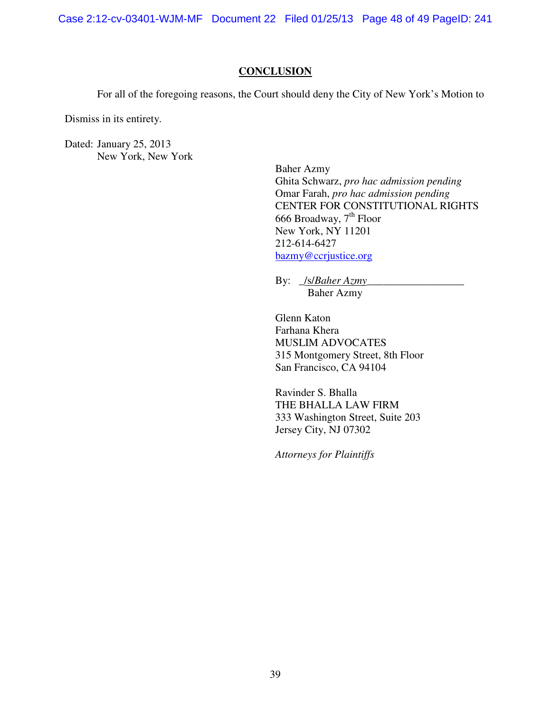Case 2:12-cv-03401-WJM-MF Document 22 Filed 01/25/13 Page 48 of 49 PageID: 241

#### **CONCLUSION**

For all of the foregoing reasons, the Court should deny the City of New York's Motion to

Dismiss in its entirety.

Dated: January 25, 2013 New York, New York

> Baher Azmy Ghita Schwarz, *pro hac admission pending* Omar Farah, *pro hac admission pending*  CENTER FOR CONSTITUTIONAL RIGHTS 666 Broadway,  $7<sup>th</sup>$  Floor New York, NY 11201 212-614-6427 bazmy@ccrjustice.org

By: \_/s/*Baher Azmy*\_\_\_\_\_\_\_\_\_\_\_\_\_\_\_\_\_\_ Baher Azmy

Glenn Katon Farhana Khera MUSLIM ADVOCATES 315 Montgomery Street, 8th Floor San Francisco, CA 94104

Ravinder S. Bhalla THE BHALLA LAW FIRM 333 Washington Street, Suite 203 Jersey City, NJ 07302

 *Attorneys for Plaintiffs*